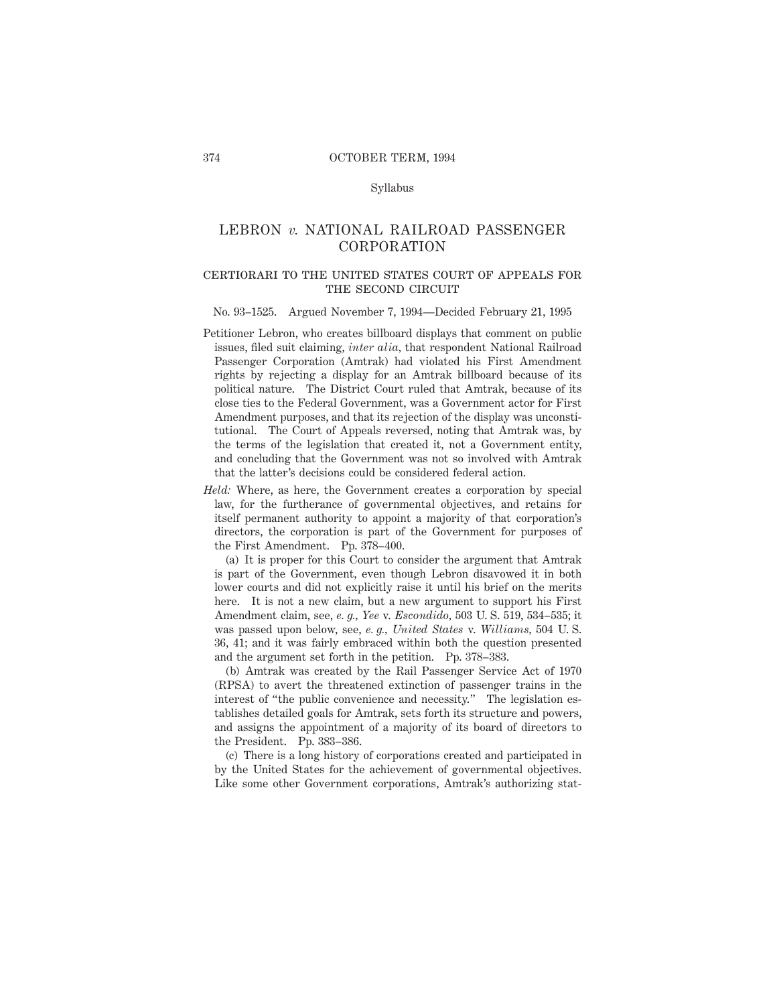## Syllabus

# LEBRON *v.* NATIONAL RAILROAD PASSENGER CORPORATION

## certiorari to the united states court of appeals forTHE SECOND CIRCUIT

#### No. 93–1525. Argued November 7, 1994—Decided February 21, 1995

- Petitioner Lebron, who creates billboard displays that comment on public issues, filed suit claiming, *inter alia,* that respondent National Railroad Passenger Corporation (Amtrak) had violated his First Amendment rights by rejecting a display for an Amtrak billboard because of its political nature. The District Court ruled that Amtrak, because of its close ties to the Federal Government, was a Government actor for First Amendment purposes, and that its rejection of the display was unconstitutional. The Court of Appeals reversed, noting that Amtrak was, by the terms of the legislation that created it, not a Government entity, and concluding that the Government was not so involved with Amtrak that the latter's decisions could be considered federal action.
- *Held:* Where, as here, the Government creates a corporation by special law, for the furtherance of governmental objectives, and retains for itself permanent authority to appoint a majority of that corporation's directors, the corporation is part of the Government for purposes of the First Amendment. Pp. 378–400.

(a) It is proper for this Court to consider the argument that Amtrak is part of the Government, even though Lebron disavowed it in both lower courts and did not explicitly raise it until his brief on the merits here. It is not a new claim, but a new argument to support his First Amendment claim, see, *e. g., Yee* v. *Escondido,* 503 U. S. 519, 534–535; it was passed upon below, see, *e. g., United States* v. *Williams,* 504 U. S. 36, 41; and it was fairly embraced within both the question presented and the argument set forth in the petition. Pp. 378–383.

(b) Amtrak was created by the Rail Passenger Service Act of 1970 (RPSA) to avert the threatened extinction of passenger trains in the interest of "the public convenience and necessity." The legislation establishes detailed goals for Amtrak, sets forth its structure and powers, and assigns the appointment of a majority of its board of directors to the President. Pp. 383–386.

(c) There is a long history of corporations created and participated in by the United States for the achievement of governmental objectives. Like some other Government corporations, Amtrak's authorizing stat-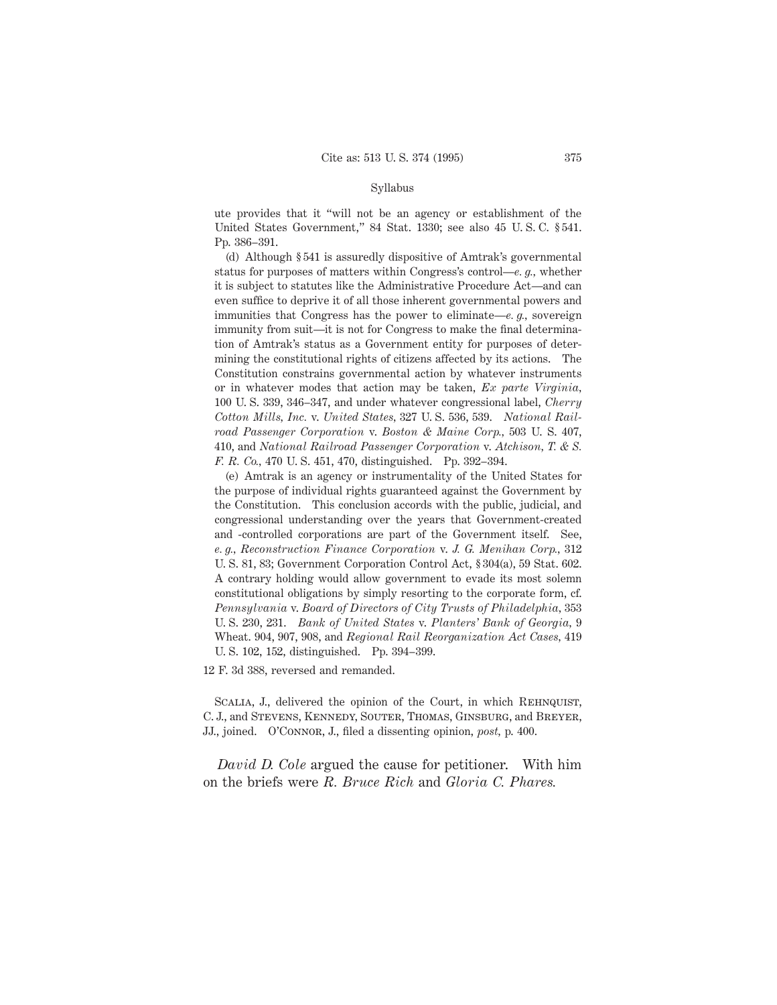## Syllabus

ute provides that it "will not be an agency or establishment of the United States Government," 84 Stat. 1330; see also 45 U. S. C. § 541. Pp. 386–391.

(d) Although § 541 is assuredly dispositive of Amtrak's governmental status for purposes of matters within Congress's control—*e. g.,* whether it is subject to statutes like the Administrative Procedure Act—and can even suffice to deprive it of all those inherent governmental powers and immunities that Congress has the power to eliminate—*e. g.,* sovereign immunity from suit—it is not for Congress to make the final determination of Amtrak's status as a Government entity for purposes of determining the constitutional rights of citizens affected by its actions. The Constitution constrains governmental action by whatever instruments or in whatever modes that action may be taken, *Ex parte Virginia,* 100 U. S. 339, 346–347, and under whatever congressional label, *Cherry Cotton Mills, Inc.* v. *United States,* 327 U. S. 536, 539. *National Railroad Passenger Corporation* v. *Boston & Maine Corp.,* 503 U. S. 407, 410, and *National Railroad Passenger Corporation* v. *Atchison, T. & S. F. R. Co.,* 470 U. S. 451, 470, distinguished. Pp. 392–394.

(e) Amtrak is an agency or instrumentality of the United States for the purpose of individual rights guaranteed against the Government by the Constitution. This conclusion accords with the public, judicial, and congressional understanding over the years that Government-created and -controlled corporations are part of the Government itself. See, *e. g., Reconstruction Finance Corporation* v. *J. G. Menihan Corp.,* 312 U. S. 81, 83; Government Corporation Control Act, § 304(a), 59 Stat. 602. A contrary holding would allow government to evade its most solemn constitutional obligations by simply resorting to the corporate form, cf. *Pennsylvania* v. *Board of Directors of City Trusts of Philadelphia,* 353 U. S. 230, 231. *Bank of United States* v. *Planters' Bank of Georgia,* 9 Wheat. 904, 907, 908, and *Regional Rail Reorganization Act Cases,* 419 U. S. 102, 152, distinguished. Pp. 394–399.

12 F. 3d 388, reversed and remanded.

SCALIA, J., delivered the opinion of the Court, in which REHNQUIST, C. J., and Stevens, Kennedy, Souter, Thomas, Ginsburg, and Breyer, JJ., joined. O'Connor, J., filed a dissenting opinion, *post,* p. 400.

*David D. Cole* argued the cause for petitioner. With him on the briefs were *R. Bruce Rich* and *Gloria C. Phares.*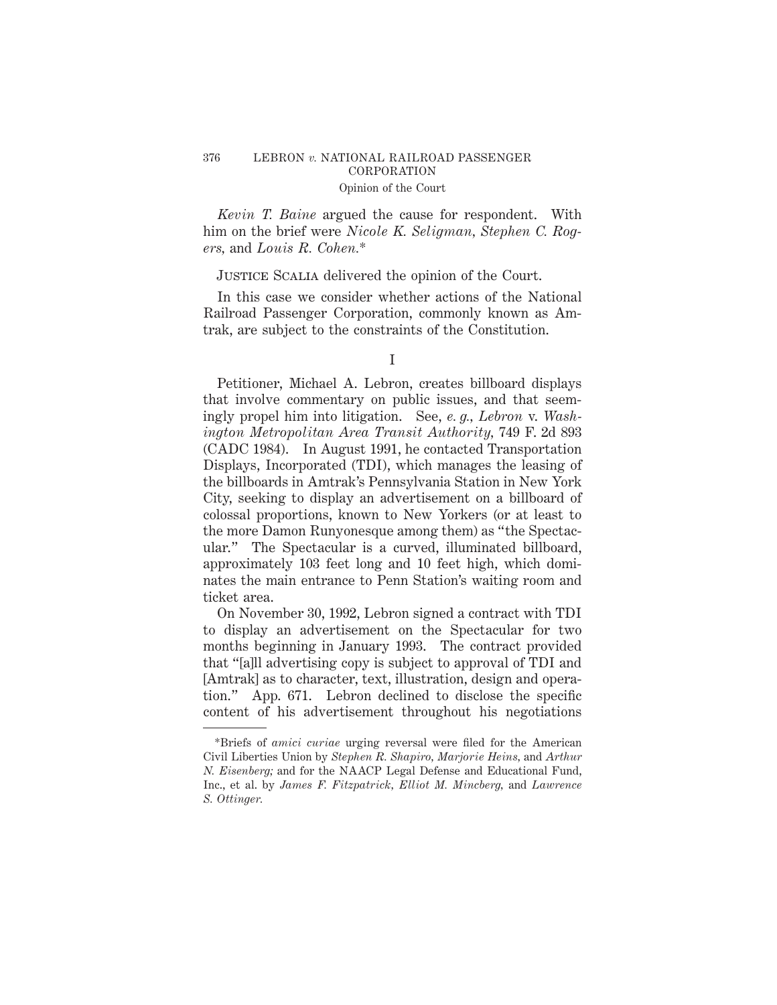## 376 LEBRON *v.* NATIONAL RAILROAD PASSENGER CORPORATION Opinion of the Court

*Kevin T. Baine* argued the cause for respondent. With him on the brief were *Nicole K. Seligman, Stephen C. Rogers,* and *Louis R. Cohen.*\*

# Justice Scalia delivered the opinion of the Court.

In this case we consider whether actions of the National Railroad Passenger Corporation, commonly known as Amtrak, are subject to the constraints of the Constitution.

Petitioner, Michael A. Lebron, creates billboard displays that involve commentary on public issues, and that seemingly propel him into litigation. See, *e. g., Lebron* v. *Washington Metropolitan Area Transit Authority,* 749 F. 2d 893 (CADC 1984). In August 1991, he contacted Transportation Displays, Incorporated (TDI), which manages the leasing of the billboards in Amtrak's Pennsylvania Station in New York City, seeking to display an advertisement on a billboard of colossal proportions, known to New Yorkers (or at least to the more Damon Runyonesque among them) as "the Spectacular." The Spectacular is a curved, illuminated billboard, approximately 103 feet long and 10 feet high, which dominates the main entrance to Penn Station's waiting room and ticket area.

On November 30, 1992, Lebron signed a contract with TDI to display an advertisement on the Spectacular for two months beginning in January 1993. The contract provided that "[a]ll advertising copy is subject to approval of TDI and [Amtrak] as to character, text, illustration, design and operation." App. 671. Lebron declined to disclose the specific content of his advertisement throughout his negotiations

I

<sup>\*</sup>Briefs of *amici curiae* urging reversal were filed for the American Civil Liberties Union by *Stephen R. Shapiro, Marjorie Heins,* and *Arthur N. Eisenberg;* and for the NAACP Legal Defense and Educational Fund, Inc., et al. by *James F. Fitzpatrick, Elliot M. Mincberg,* and *Lawrence S. Ottinger.*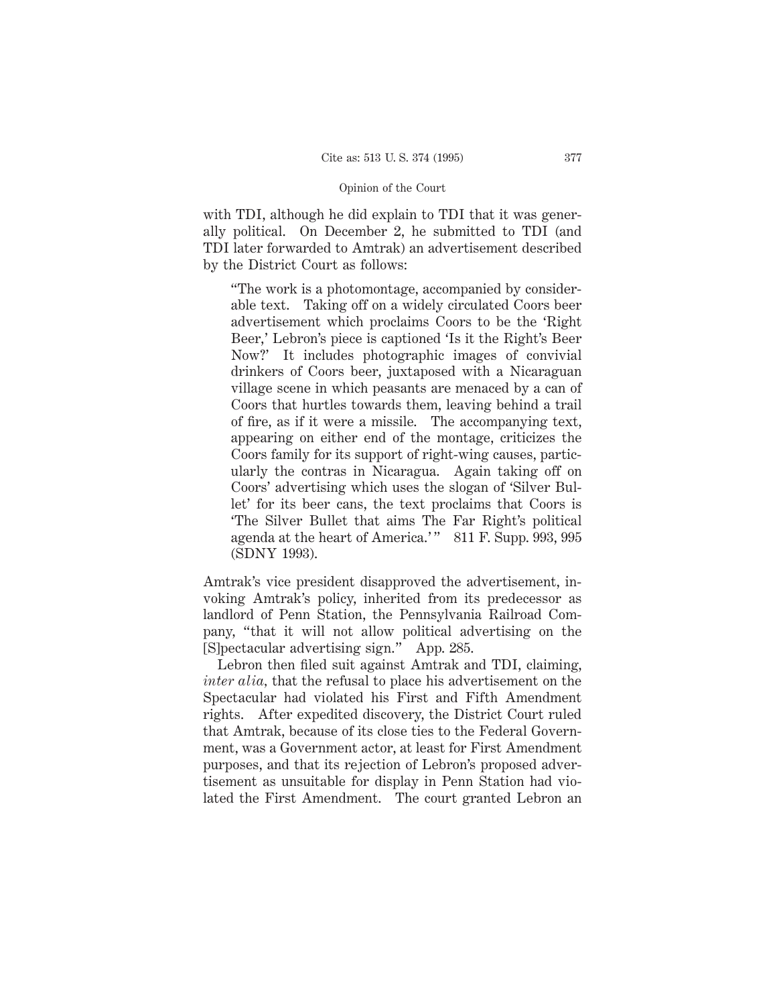with TDI, although he did explain to TDI that it was generally political. On December 2, he submitted to TDI (and TDI later forwarded to Amtrak) an advertisement described by the District Court as follows:

"The work is a photomontage, accompanied by considerable text. Taking off on a widely circulated Coors beer advertisement which proclaims Coors to be the 'Right Beer,' Lebron's piece is captioned 'Is it the Right's Beer Now?' It includes photographic images of convivial drinkers of Coors beer, juxtaposed with a Nicaraguan village scene in which peasants are menaced by a can of Coors that hurtles towards them, leaving behind a trail of fire, as if it were a missile. The accompanying text, appearing on either end of the montage, criticizes the Coors family for its support of right-wing causes, particularly the contras in Nicaragua. Again taking off on Coors' advertising which uses the slogan of 'Silver Bullet' for its beer cans, the text proclaims that Coors is 'The Silver Bullet that aims The Far Right's political agenda at the heart of America.'" 811 F. Supp. 993, 995 (SDNY 1993).

Amtrak's vice president disapproved the advertisement, invoking Amtrak's policy, inherited from its predecessor as landlord of Penn Station, the Pennsylvania Railroad Company, "that it will not allow political advertising on the [S]pectacular advertising sign." App. 285.

Lebron then filed suit against Amtrak and TDI, claiming, *inter alia,* that the refusal to place his advertisement on the Spectacular had violated his First and Fifth Amendment rights. After expedited discovery, the District Court ruled that Amtrak, because of its close ties to the Federal Government, was a Government actor, at least for First Amendment purposes, and that its rejection of Lebron's proposed advertisement as unsuitable for display in Penn Station had violated the First Amendment. The court granted Lebron an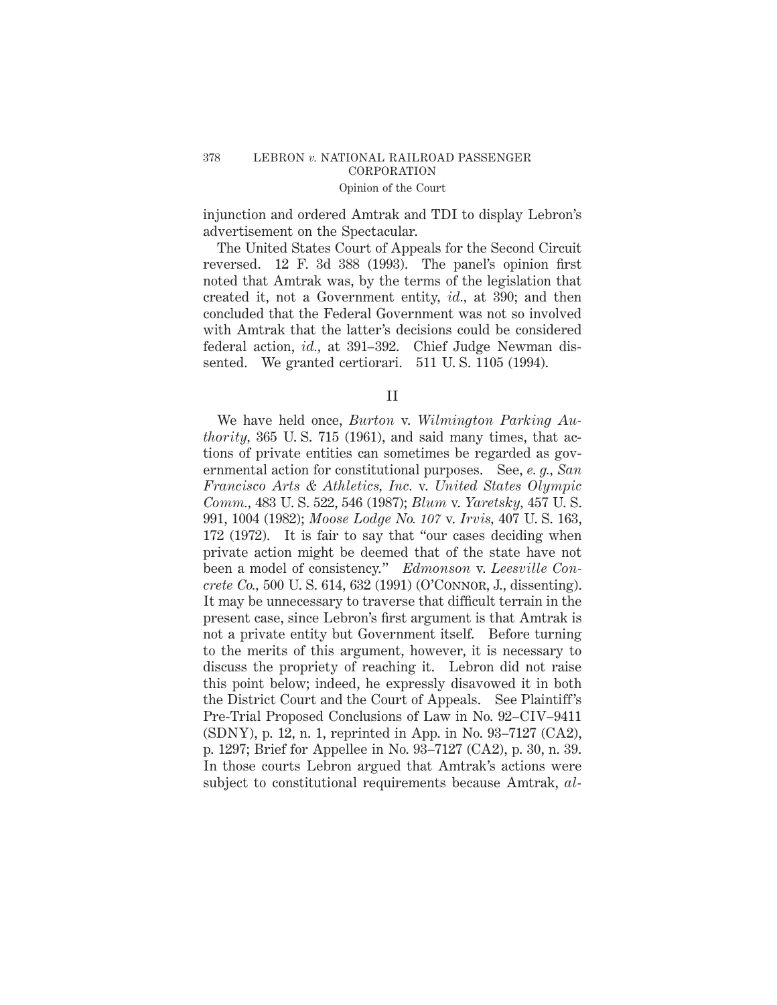injunction and ordered Amtrak and TDI to display Lebron's advertisement on the Spectacular.

The United States Court of Appeals for the Second Circuit reversed. 12 F. 3d 388 (1993). The panel's opinion first noted that Amtrak was, by the terms of the legislation that created it, not a Government entity, *id.,* at 390; and then concluded that the Federal Government was not so involved with Amtrak that the latter's decisions could be considered federal action, *id.,* at 391–392. Chief Judge Newman dissented. We granted certiorari. 511 U. S. 1105 (1994).

II

We have held once, *Burton* v. *Wilmington Parking Authority,* 365 U. S. 715 (1961), and said many times, that actions of private entities can sometimes be regarded as governmental action for constitutional purposes. See, *e. g., San Francisco Arts & Athletics, Inc.* v. *United States Olympic Comm.,* 483 U. S. 522, 546 (1987); *Blum* v. *Yaretsky,* 457 U. S. 991, 1004 (1982); *Moose Lodge No. 107* v. *Irvis,* 407 U. S. 163, 172 (1972). It is fair to say that "our cases deciding when private action might be deemed that of the state have not been a model of consistency." *Edmonson* v. *Leesville Concrete Co.,* 500 U. S. 614, 632 (1991) (O'Connor, J., dissenting). It may be unnecessary to traverse that difficult terrain in the present case, since Lebron's first argument is that Amtrak is not a private entity but Government itself. Before turning to the merits of this argument, however, it is necessary to discuss the propriety of reaching it. Lebron did not raise this point below; indeed, he expressly disavowed it in both the District Court and the Court of Appeals. See Plaintiff's Pre-Trial Proposed Conclusions of Law in No. 92–CIV–9411 (SDNY), p. 12, n. 1, reprinted in App. in No. 93–7127 (CA2), p. 1297; Brief for Appellee in No. 93–7127 (CA2), p. 30, n. 39. In those courts Lebron argued that Amtrak's actions were subject to constitutional requirements because Amtrak, *al-*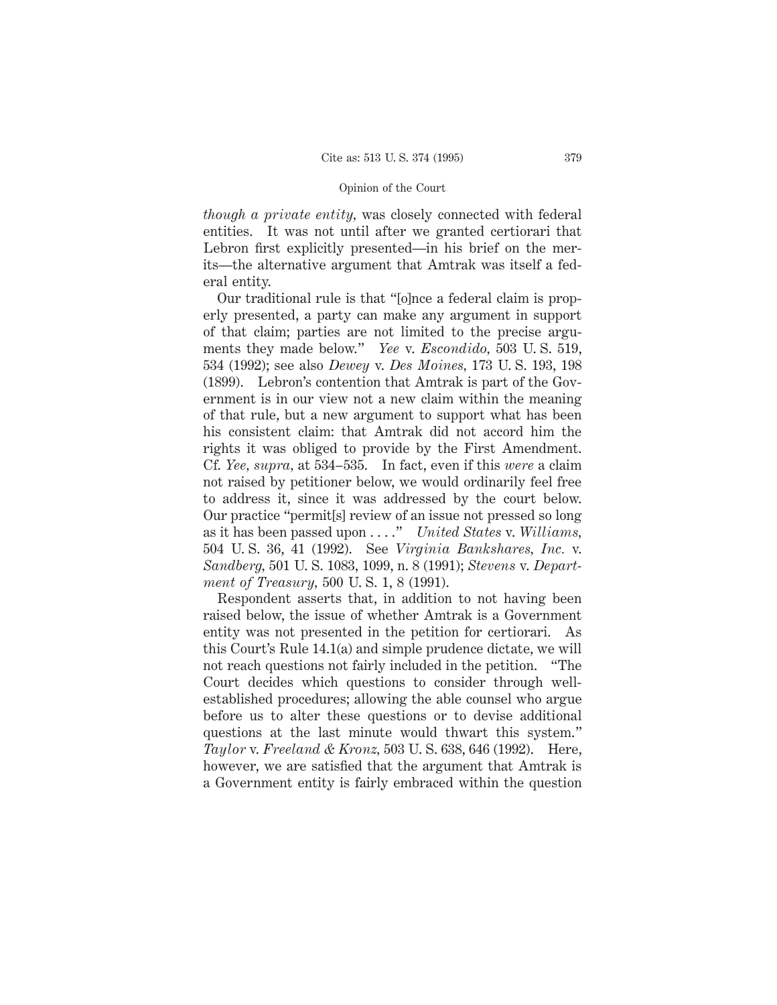*though a private entity,* was closely connected with federal entities. It was not until after we granted certiorari that Lebron first explicitly presented—in his brief on the merits—the alternative argument that Amtrak was itself a federal entity.

Our traditional rule is that "[o]nce a federal claim is properly presented, a party can make any argument in support of that claim; parties are not limited to the precise arguments they made below." *Yee* v. *Escondido,* 503 U. S. 519, 534 (1992); see also *Dewey* v. *Des Moines,* 173 U. S. 193, 198 (1899). Lebron's contention that Amtrak is part of the Government is in our view not a new claim within the meaning of that rule, but a new argument to support what has been his consistent claim: that Amtrak did not accord him the rights it was obliged to provide by the First Amendment. Cf. *Yee, supra,* at 534–535. In fact, even if this *were* a claim not raised by petitioner below, we would ordinarily feel free to address it, since it was addressed by the court below. Our practice "permit[s] review of an issue not pressed so long as it has been passed upon . . . ." *United States* v. *Williams,* 504 U. S. 36, 41 (1992). See *Virginia Bankshares, Inc.* v. *Sandberg,* 501 U. S. 1083, 1099, n. 8 (1991); *Stevens* v. *Department of Treasury,* 500 U. S. 1, 8 (1991).

Respondent asserts that, in addition to not having been raised below, the issue of whether Amtrak is a Government entity was not presented in the petition for certiorari. As this Court's Rule 14.1(a) and simple prudence dictate, we will not reach questions not fairly included in the petition. "The Court decides which questions to consider through wellestablished procedures; allowing the able counsel who argue before us to alter these questions or to devise additional questions at the last minute would thwart this system." *Taylor* v. *Freeland & Kronz,* 503 U. S. 638, 646 (1992). Here, however, we are satisfied that the argument that Amtrak is a Government entity is fairly embraced within the question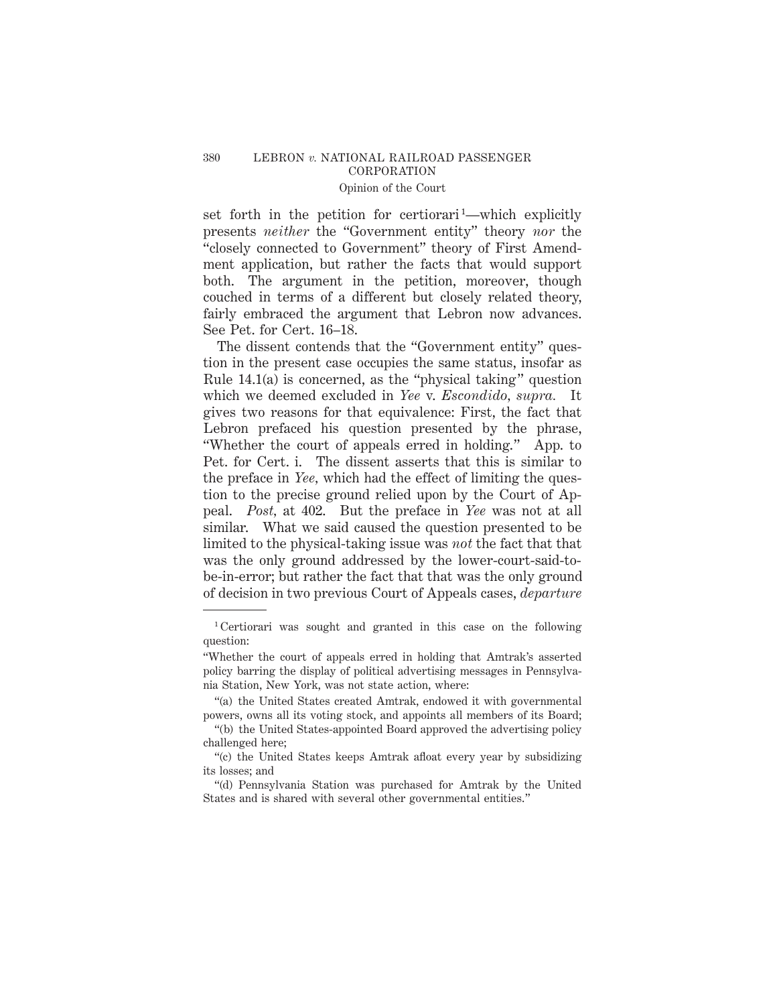set forth in the petition for certiorari<sup>1</sup>—which explicitly presents *neither* the "Government entity" theory *nor* the "closely connected to Government" theory of First Amendment application, but rather the facts that would support both. The argument in the petition, moreover, though couched in terms of a different but closely related theory, fairly embraced the argument that Lebron now advances. See Pet. for Cert. 16–18.

The dissent contends that the "Government entity" question in the present case occupies the same status, insofar as Rule 14.1(a) is concerned, as the "physical taking" question which we deemed excluded in *Yee* v. *Escondido, supra.* It gives two reasons for that equivalence: First, the fact that Lebron prefaced his question presented by the phrase, "Whether the court of appeals erred in holding." App. to Pet. for Cert. i. The dissent asserts that this is similar to the preface in *Yee,* which had the effect of limiting the question to the precise ground relied upon by the Court of Appeal. *Post,* at 402. But the preface in *Yee* was not at all similar. What we said caused the question presented to be limited to the physical-taking issue was *not* the fact that that was the only ground addressed by the lower-court-said-tobe-in-error; but rather the fact that that was the only ground of decision in two previous Court of Appeals cases, *departure*

<sup>1</sup> Certiorari was sought and granted in this case on the following question:

<sup>&</sup>quot;Whether the court of appeals erred in holding that Amtrak's asserted policy barring the display of political advertising messages in Pennsylvania Station, New York, was not state action, where:

<sup>&</sup>quot;(a) the United States created Amtrak, endowed it with governmental powers, owns all its voting stock, and appoints all members of its Board;

<sup>&</sup>quot;(b) the United States-appointed Board approved the advertising policy challenged here;

<sup>&</sup>quot;(c) the United States keeps Amtrak afloat every year by subsidizing its losses; and

<sup>&</sup>quot;(d) Pennsylvania Station was purchased for Amtrak by the United States and is shared with several other governmental entities."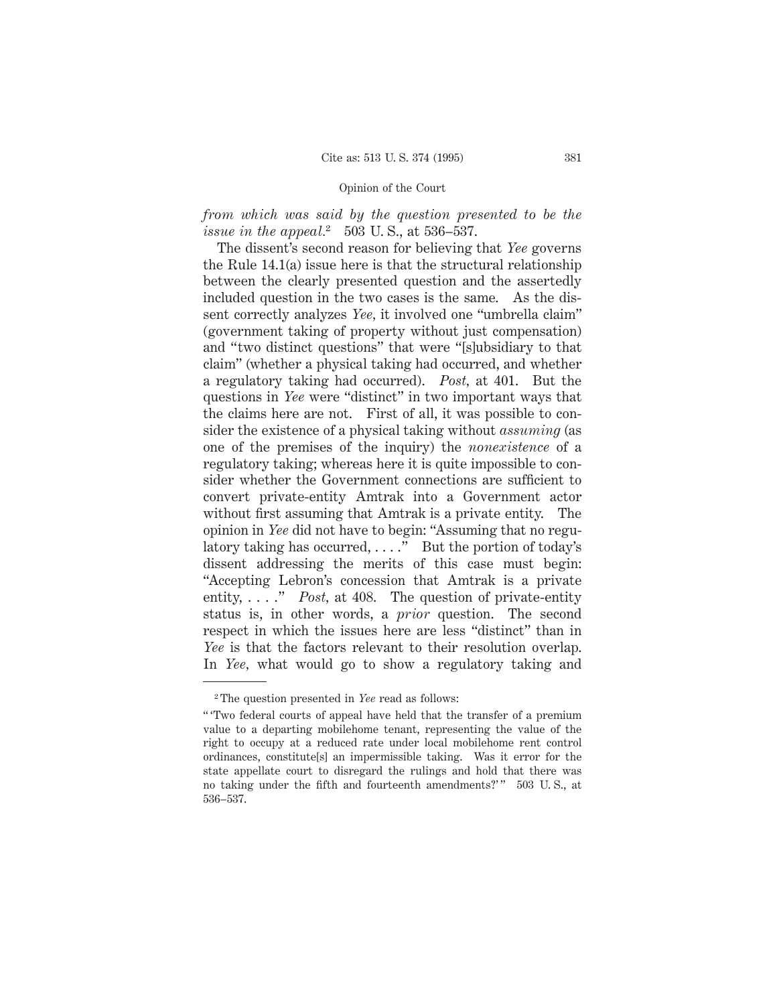# *from which was said by the question presented to be the issue in the appeal.*<sup>2</sup> 503 U. S., at 536–537.

The dissent's second reason for believing that *Yee* governs the Rule 14.1(a) issue here is that the structural relationship between the clearly presented question and the assertedly included question in the two cases is the same. As the dissent correctly analyzes *Yee,* it involved one "umbrella claim" (government taking of property without just compensation) and "two distinct questions" that were "[s]ubsidiary to that claim" (whether a physical taking had occurred, and whether a regulatory taking had occurred). *Post,* at 401. But the questions in *Yee* were "distinct" in two important ways that the claims here are not. First of all, it was possible to consider the existence of a physical taking without *assuming* (as one of the premises of the inquiry) the *nonexistence* of a regulatory taking; whereas here it is quite impossible to consider whether the Government connections are sufficient to convert private-entity Amtrak into a Government actor without first assuming that Amtrak is a private entity. The opinion in *Yee* did not have to begin: "Assuming that no regulatory taking has occurred, . . . ." But the portion of today's dissent addressing the merits of this case must begin: "Accepting Lebron's concession that Amtrak is a private entity, . . . ." *Post,* at 408. The question of private-entity status is, in other words, a *prior* question. The second respect in which the issues here are less "distinct" than in *Yee* is that the factors relevant to their resolution overlap. In *Yee,* what would go to show a regulatory taking and

<sup>2</sup> The question presented in *Yee* read as follows:

<sup>&</sup>quot; 'Two federal courts of appeal have held that the transfer of a premium value to a departing mobilehome tenant, representing the value of the right to occupy at a reduced rate under local mobilehome rent control ordinances, constitute[s] an impermissible taking. Was it error for the state appellate court to disregard the rulings and hold that there was no taking under the fifth and fourteenth amendments?'" 503 U.S., at 536–537.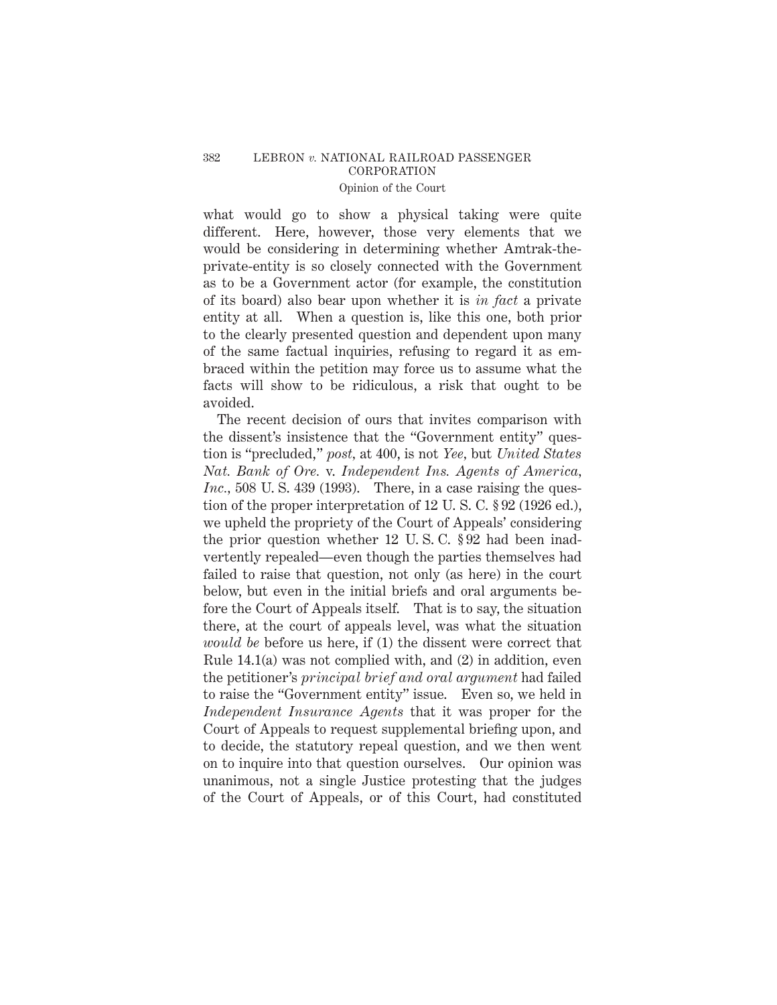what would go to show a physical taking were quite different. Here, however, those very elements that we would be considering in determining whether Amtrak-theprivate-entity is so closely connected with the Government as to be a Government actor (for example, the constitution of its board) also bear upon whether it is *in fact* a private entity at all. When a question is, like this one, both prior to the clearly presented question and dependent upon many of the same factual inquiries, refusing to regard it as embraced within the petition may force us to assume what the facts will show to be ridiculous, a risk that ought to be avoided.

The recent decision of ours that invites comparison with the dissent's insistence that the "Government entity" question is "precluded," *post,* at 400, is not *Yee,* but *United States Nat. Bank of Ore.* v. *Independent Ins. Agents of America, Inc.*, 508 U.S. 439 (1993). There, in a case raising the question of the proper interpretation of 12 U. S. C. § 92 (1926 ed.), we upheld the propriety of the Court of Appeals' considering the prior question whether 12 U. S. C. § 92 had been inadvertently repealed—even though the parties themselves had failed to raise that question, not only (as here) in the court below, but even in the initial briefs and oral arguments before the Court of Appeals itself. That is to say, the situation there, at the court of appeals level, was what the situation *would be* before us here, if (1) the dissent were correct that Rule 14.1(a) was not complied with, and (2) in addition, even the petitioner's *principal brief and oral argument* had failed to raise the "Government entity" issue. Even so, we held in *Independent Insurance Agents* that it was proper for the Court of Appeals to request supplemental briefing upon, and to decide, the statutory repeal question, and we then went on to inquire into that question ourselves. Our opinion was unanimous, not a single Justice protesting that the judges of the Court of Appeals, or of this Court, had constituted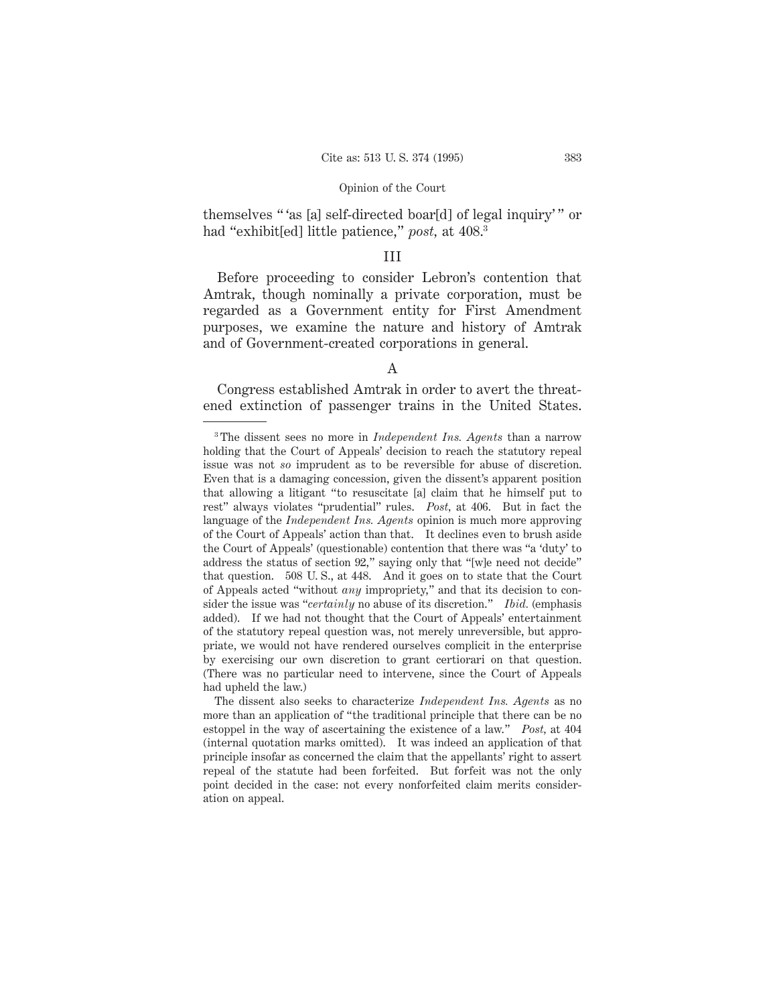themselves " 'as [a] self-directed boar[d] of legal inquiry' " or had "exhibit[ed] little patience," *post,* at 408.3

## III

Before proceeding to consider Lebron's contention that Amtrak, though nominally a private corporation, must be regarded as a Government entity for First Amendment purposes, we examine the nature and history of Amtrak and of Government-created corporations in general.

## A

Congress established Amtrak in order to avert the threatened extinction of passenger trains in the United States.

<sup>3</sup> The dissent sees no more in *Independent Ins. Agents* than a narrow holding that the Court of Appeals' decision to reach the statutory repeal issue was not *so* imprudent as to be reversible for abuse of discretion. Even that is a damaging concession, given the dissent's apparent position that allowing a litigant "to resuscitate [a] claim that he himself put to rest" always violates "prudential" rules. *Post,* at 406. But in fact the language of the *Independent Ins. Agents* opinion is much more approving of the Court of Appeals' action than that. It declines even to brush aside the Court of Appeals' (questionable) contention that there was "a 'duty' to address the status of section 92," saying only that "[w]e need not decide" that question. 508 U. S., at 448. And it goes on to state that the Court of Appeals acted "without *any* impropriety," and that its decision to consider the issue was "*certainly* no abuse of its discretion." *Ibid.* (emphasis added). If we had not thought that the Court of Appeals' entertainment of the statutory repeal question was, not merely unreversible, but appropriate, we would not have rendered ourselves complicit in the enterprise by exercising our own discretion to grant certiorari on that question. (There was no particular need to intervene, since the Court of Appeals had upheld the law.)

The dissent also seeks to characterize *Independent Ins. Agents* as no more than an application of "the traditional principle that there can be no estoppel in the way of ascertaining the existence of a law." *Post,* at 404 (internal quotation marks omitted). It was indeed an application of that principle insofar as concerned the claim that the appellants' right to assert repeal of the statute had been forfeited. But forfeit was not the only point decided in the case: not every nonforfeited claim merits consideration on appeal.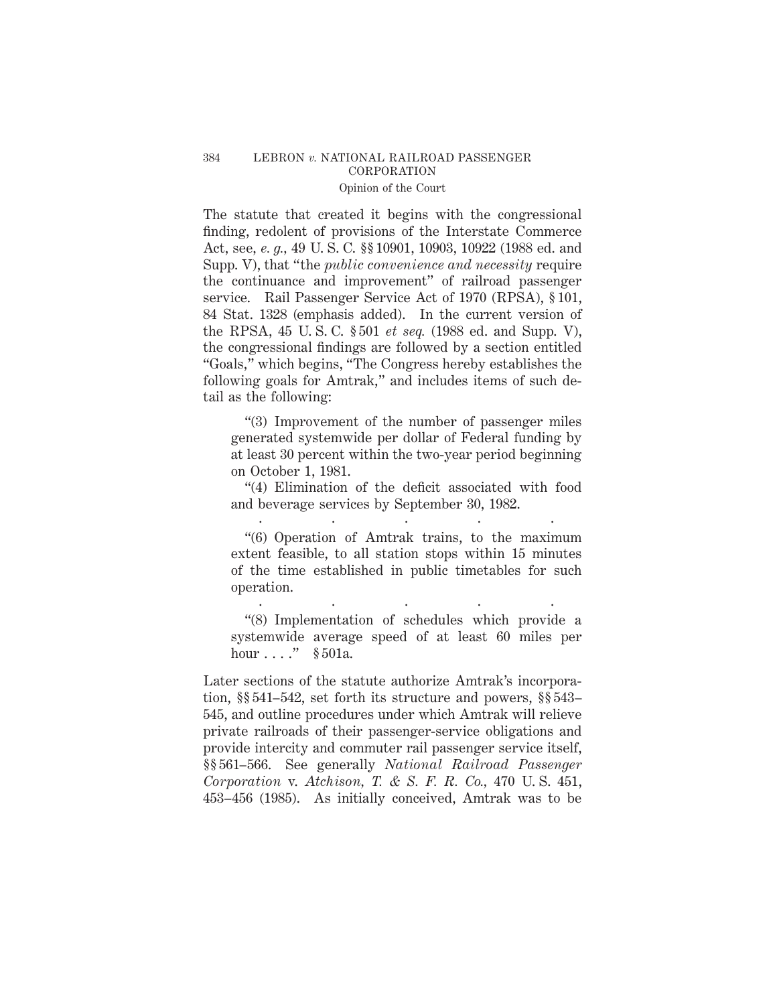# 384 LEBRON *v.* NATIONAL RAILROAD PASSENGER CORPORATION

# Opinion of the Court

The statute that created it begins with the congressional finding, redolent of provisions of the Interstate Commerce Act, see, *e. g.,* 49 U. S. C. §§ 10901, 10903, 10922 (1988 ed. and Supp. V), that "the *public convenience and necessity* require the continuance and improvement" of railroad passenger service. Rail Passenger Service Act of 1970 (RPSA), § 101, 84 Stat. 1328 (emphasis added). In the current version of the RPSA, 45 U. S. C. § 501 *et seq.* (1988 ed. and Supp. V), the congressional findings are followed by a section entitled "Goals," which begins, "The Congress hereby establishes the following goals for Amtrak," and includes items of such detail as the following:

"(3) Improvement of the number of passenger miles generated systemwide per dollar of Federal funding by at least 30 percent within the two-year period beginning on October 1, 1981.

"(4) Elimination of the deficit associated with food and beverage services by September 30, 1982. .....

"(6) Operation of Amtrak trains, to the maximum extent feasible, to all station stops within 15 minutes of the time established in public timetables for such operation.

"(8) Implementation of schedules which provide a systemwide average speed of at least 60 miles per hour  $\dots$ ." § 501a.

.....

Later sections of the statute authorize Amtrak's incorporation, §§ 541–542, set forth its structure and powers, §§ 543– 545, and outline procedures under which Amtrak will relieve private railroads of their passenger-service obligations and provide intercity and commuter rail passenger service itself, §§ 561–566. See generally *National Railroad Passenger Corporation* v. *Atchison, T. & S. F. R. Co.,* 470 U. S. 451, 453–456 (1985). As initially conceived, Amtrak was to be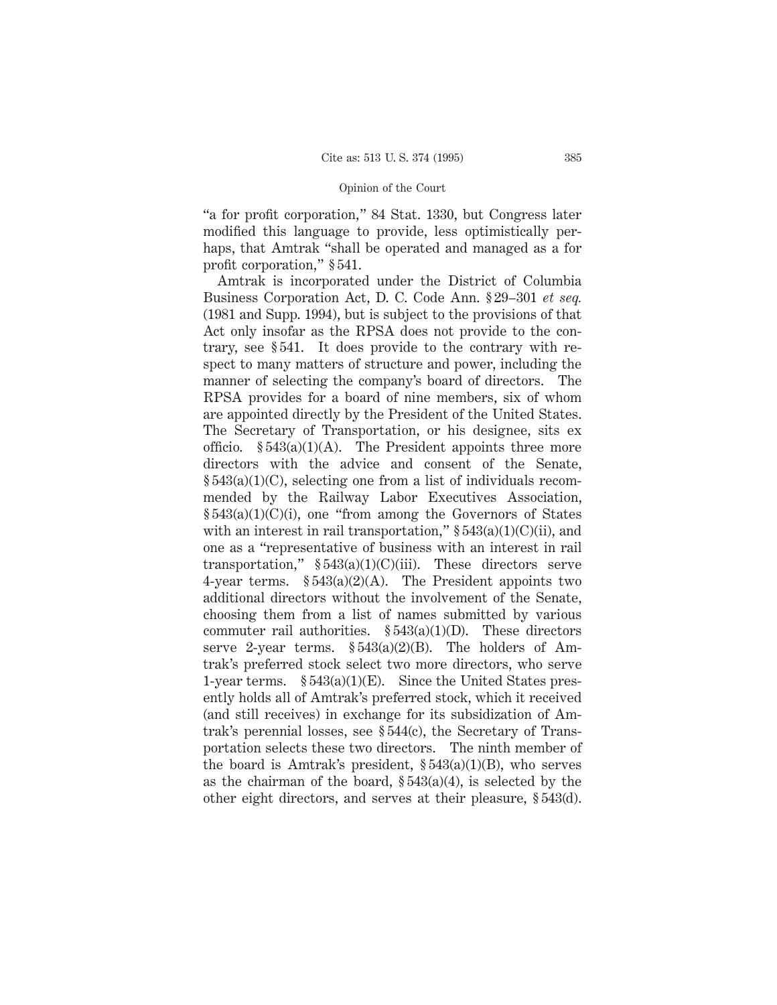"a for profit corporation," 84 Stat. 1330, but Congress later modified this language to provide, less optimistically perhaps, that Amtrak "shall be operated and managed as a for profit corporation," § 541.

Amtrak is incorporated under the District of Columbia Business Corporation Act, D. C. Code Ann. § 29–301 *et seq.* (1981 and Supp. 1994), but is subject to the provisions of that Act only insofar as the RPSA does not provide to the contrary, see § 541. It does provide to the contrary with respect to many matters of structure and power, including the manner of selecting the company's board of directors. The RPSA provides for a board of nine members, six of whom are appointed directly by the President of the United States. The Secretary of Transportation, or his designee, sits ex officio.  $\S 543(a)(1)(A)$ . The President appoints three more directors with the advice and consent of the Senate, § 543(a)(1)(C), selecting one from a list of individuals recommended by the Railway Labor Executives Association, § 543(a)(1)(C)(i), one "from among the Governors of States with an interest in rail transportation,"  $\S 543(a)(1)(C)(ii)$ , and one as a "representative of business with an interest in rail transportation,"  $$543(a)(1)(C)(iii)$ . These directors serve 4-year terms.  $$543(a)(2)(A)$ . The President appoints two additional directors without the involvement of the Senate, choosing them from a list of names submitted by various commuter rail authorities.  $\S 543(a)(1)(D)$ . These directors serve 2-year terms. § 543(a)(2)(B). The holders of Amtrak's preferred stock select two more directors, who serve 1-year terms.  $$543(a)(1)(E)$ . Since the United States presently holds all of Amtrak's preferred stock, which it received (and still receives) in exchange for its subsidization of Amtrak's perennial losses, see § 544(c), the Secretary of Transportation selects these two directors. The ninth member of the board is Amtrak's president,  $\S 543(a)(1)(B)$ , who serves as the chairman of the board,  $\S 543(a)(4)$ , is selected by the other eight directors, and serves at their pleasure, § 543(d).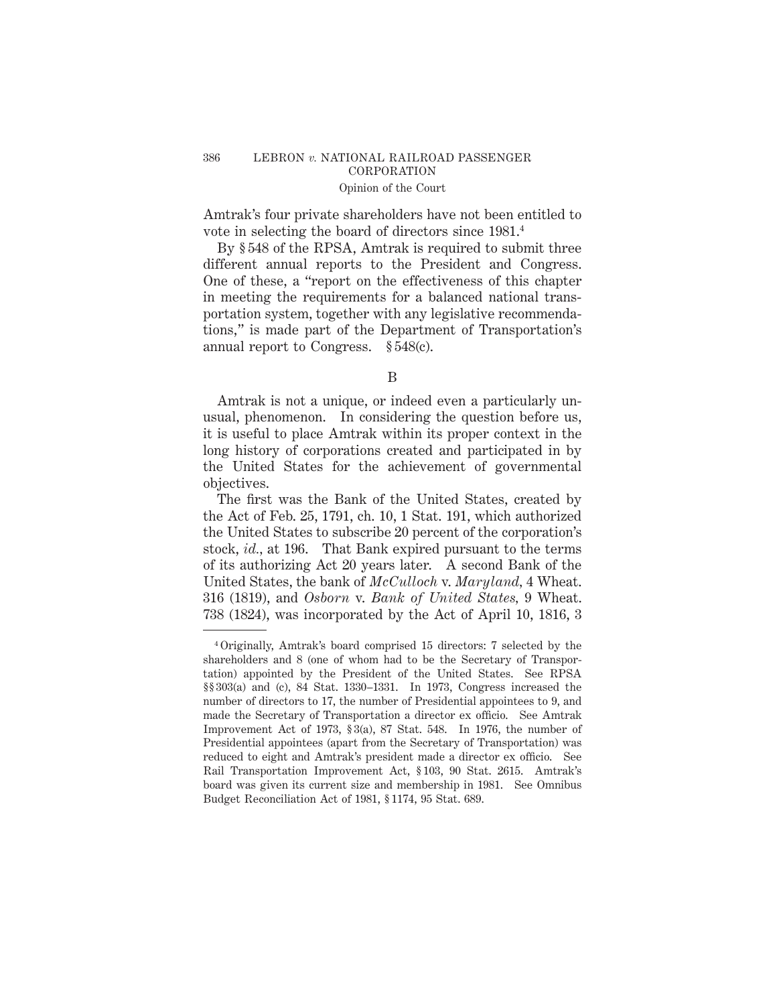## 386 LEBRON *v.* NATIONAL RAILROAD PASSENGER CORPORATION Opinion of the Court

Amtrak's four private shareholders have not been entitled to vote in selecting the board of directors since 1981.4

By § 548 of the RPSA, Amtrak is required to submit three different annual reports to the President and Congress. One of these, a "report on the effectiveness of this chapter in meeting the requirements for a balanced national transportation system, together with any legislative recommendations," is made part of the Department of Transportation's annual report to Congress. § 548(c).

B

Amtrak is not a unique, or indeed even a particularly unusual, phenomenon. In considering the question before us, it is useful to place Amtrak within its proper context in the long history of corporations created and participated in by the United States for the achievement of governmental objectives.

The first was the Bank of the United States, created by the Act of Feb. 25, 1791, ch. 10, 1 Stat. 191, which authorized the United States to subscribe 20 percent of the corporation's stock, *id.,* at 196. That Bank expired pursuant to the terms of its authorizing Act 20 years later. A second Bank of the United States, the bank of *McCulloch* v. *Maryland,* 4 Wheat. 316 (1819), and *Osborn* v. *Bank of United States,* 9 Wheat. 738 (1824), was incorporated by the Act of April 10, 1816, 3

<sup>4</sup> Originally, Amtrak's board comprised 15 directors: 7 selected by the shareholders and 8 (one of whom had to be the Secretary of Transportation) appointed by the President of the United States. See RPSA §§ 303(a) and (c), 84 Stat. 1330–1331. In 1973, Congress increased the number of directors to 17, the number of Presidential appointees to 9, and made the Secretary of Transportation a director ex officio. See Amtrak Improvement Act of 1973, § 3(a), 87 Stat. 548. In 1976, the number of Presidential appointees (apart from the Secretary of Transportation) was reduced to eight and Amtrak's president made a director ex officio. See Rail Transportation Improvement Act, § 103, 90 Stat. 2615. Amtrak's board was given its current size and membership in 1981. See Omnibus Budget Reconciliation Act of 1981, § 1174, 95 Stat. 689.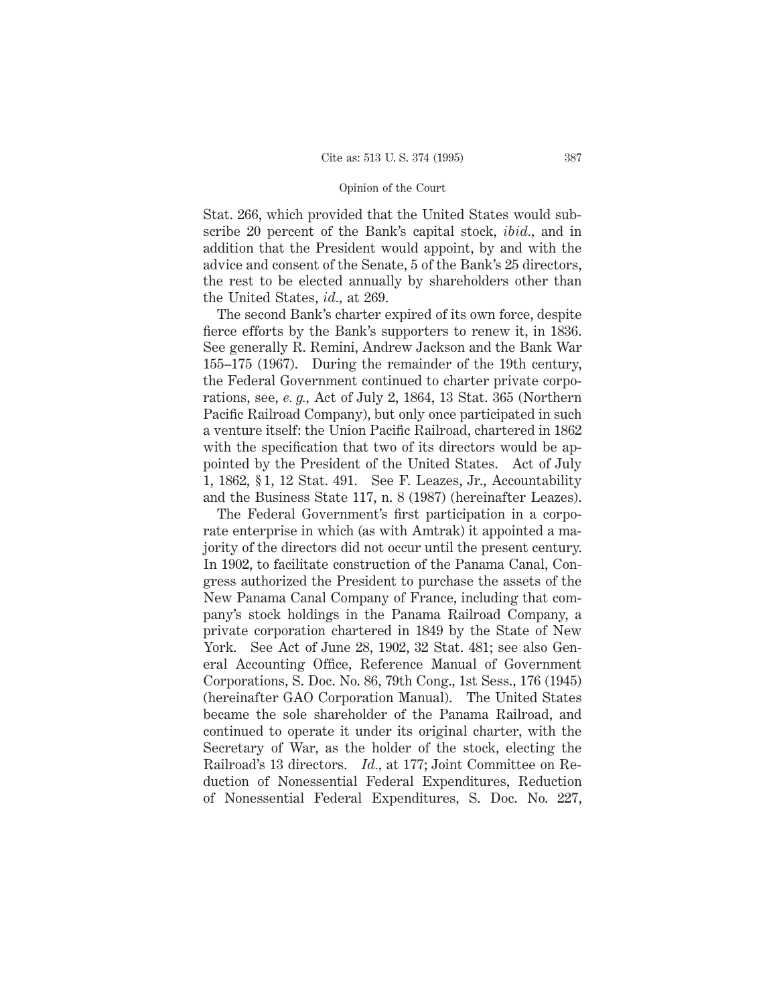Stat. 266, which provided that the United States would subscribe 20 percent of the Bank's capital stock, *ibid.,* and in addition that the President would appoint, by and with the advice and consent of the Senate, 5 of the Bank's 25 directors, the rest to be elected annually by shareholders other than the United States, *id.,* at 269.

The second Bank's charter expired of its own force, despite fierce efforts by the Bank's supporters to renew it, in 1836. See generally R. Remini, Andrew Jackson and the Bank War 155–175 (1967). During the remainder of the 19th century, the Federal Government continued to charter private corporations, see, *e. g.,* Act of July 2, 1864, 13 Stat. 365 (Northern Pacific Railroad Company), but only once participated in such a venture itself: the Union Pacific Railroad, chartered in 1862 with the specification that two of its directors would be appointed by the President of the United States. Act of July 1, 1862, § 1, 12 Stat. 491. See F. Leazes, Jr., Accountability and the Business State 117, n. 8 (1987) (hereinafter Leazes).

The Federal Government's first participation in a corporate enterprise in which (as with Amtrak) it appointed a majority of the directors did not occur until the present century. In 1902, to facilitate construction of the Panama Canal, Congress authorized the President to purchase the assets of the New Panama Canal Company of France, including that company's stock holdings in the Panama Railroad Company, a private corporation chartered in 1849 by the State of New York. See Act of June 28, 1902, 32 Stat. 481; see also General Accounting Office, Reference Manual of Government Corporations, S. Doc. No. 86, 79th Cong., 1st Sess., 176 (1945) (hereinafter GAO Corporation Manual). The United States became the sole shareholder of the Panama Railroad, and continued to operate it under its original charter, with the Secretary of War, as the holder of the stock, electing the Railroad's 13 directors. *Id.,* at 177; Joint Committee on Reduction of Nonessential Federal Expenditures, Reduction of Nonessential Federal Expenditures, S. Doc. No. 227,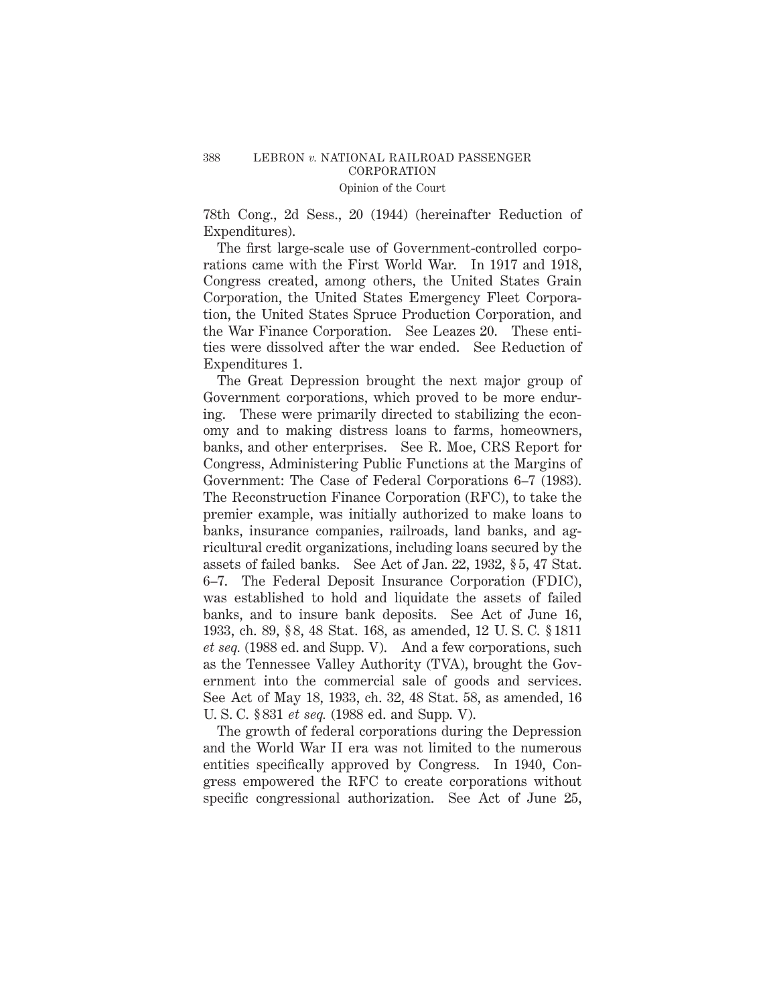78th Cong., 2d Sess., 20 (1944) (hereinafter Reduction of Expenditures).

The first large-scale use of Government-controlled corporations came with the First World War. In 1917 and 1918, Congress created, among others, the United States Grain Corporation, the United States Emergency Fleet Corporation, the United States Spruce Production Corporation, and the War Finance Corporation. See Leazes 20. These entities were dissolved after the war ended. See Reduction of Expenditures 1.

The Great Depression brought the next major group of Government corporations, which proved to be more enduring. These were primarily directed to stabilizing the economy and to making distress loans to farms, homeowners, banks, and other enterprises. See R. Moe, CRS Report for Congress, Administering Public Functions at the Margins of Government: The Case of Federal Corporations 6–7 (1983). The Reconstruction Finance Corporation (RFC), to take the premier example, was initially authorized to make loans to banks, insurance companies, railroads, land banks, and agricultural credit organizations, including loans secured by the assets of failed banks. See Act of Jan. 22, 1932, § 5, 47 Stat. 6–7. The Federal Deposit Insurance Corporation (FDIC), was established to hold and liquidate the assets of failed banks, and to insure bank deposits. See Act of June 16, 1933, ch. 89, § 8, 48 Stat. 168, as amended, 12 U. S. C. § 1811 *et seq.* (1988 ed. and Supp. V). And a few corporations, such as the Tennessee Valley Authority (TVA), brought the Government into the commercial sale of goods and services. See Act of May 18, 1933, ch. 32, 48 Stat. 58, as amended, 16 U. S. C. § 831 *et seq.* (1988 ed. and Supp. V).

The growth of federal corporations during the Depression and the World War II era was not limited to the numerous entities specifically approved by Congress. In 1940, Congress empowered the RFC to create corporations without specific congressional authorization. See Act of June 25,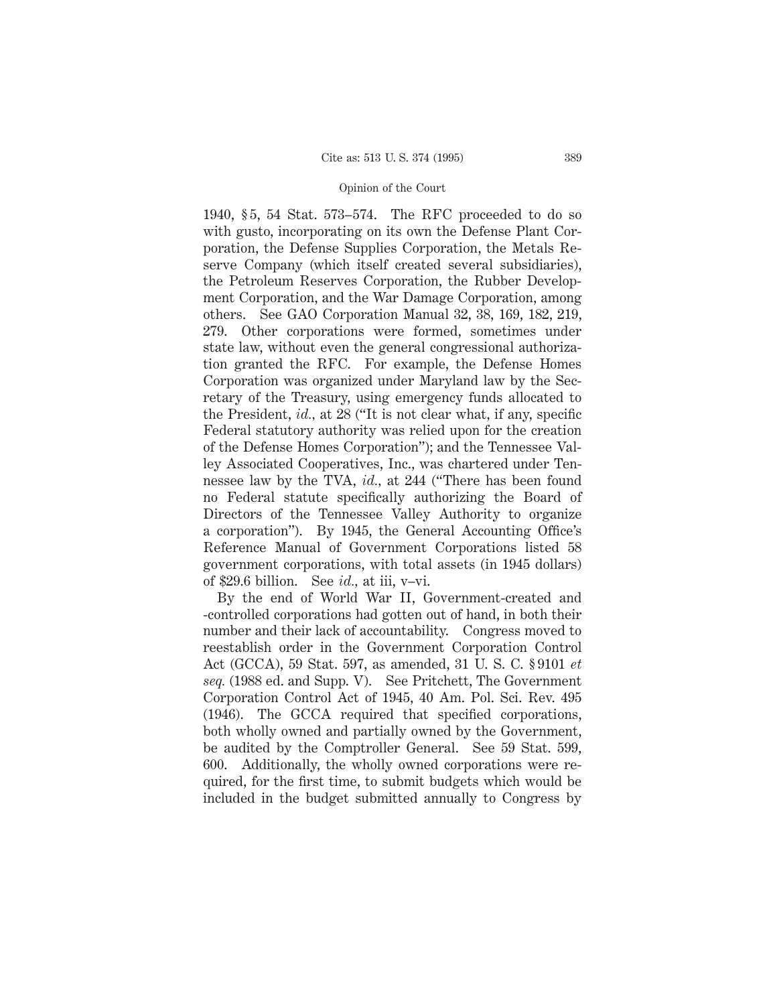1940, § 5, 54 Stat. 573–574. The RFC proceeded to do so with gusto, incorporating on its own the Defense Plant Corporation, the Defense Supplies Corporation, the Metals Reserve Company (which itself created several subsidiaries), the Petroleum Reserves Corporation, the Rubber Development Corporation, and the War Damage Corporation, among others. See GAO Corporation Manual 32, 38, 169, 182, 219, 279. Other corporations were formed, sometimes under state law, without even the general congressional authorization granted the RFC. For example, the Defense Homes Corporation was organized under Maryland law by the Secretary of the Treasury, using emergency funds allocated to the President, *id.,* at 28 ("It is not clear what, if any, specific Federal statutory authority was relied upon for the creation of the Defense Homes Corporation"); and the Tennessee Valley Associated Cooperatives, Inc., was chartered under Tennessee law by the TVA, *id.,* at 244 ("There has been found no Federal statute specifically authorizing the Board of Directors of the Tennessee Valley Authority to organize a corporation"). By 1945, the General Accounting Office's Reference Manual of Government Corporations listed 58 government corporations, with total assets (in 1945 dollars) of \$29.6 billion. See *id.,* at iii, v–vi.

By the end of World War II, Government-created and -controlled corporations had gotten out of hand, in both their number and their lack of accountability. Congress moved to reestablish order in the Government Corporation Control Act (GCCA), 59 Stat. 597, as amended, 31 U. S. C. § 9101 *et seq.* (1988 ed. and Supp. V). See Pritchett, The Government Corporation Control Act of 1945, 40 Am. Pol. Sci. Rev. 495 (1946). The GCCA required that specified corporations, both wholly owned and partially owned by the Government, be audited by the Comptroller General. See 59 Stat. 599, 600. Additionally, the wholly owned corporations were required, for the first time, to submit budgets which would be included in the budget submitted annually to Congress by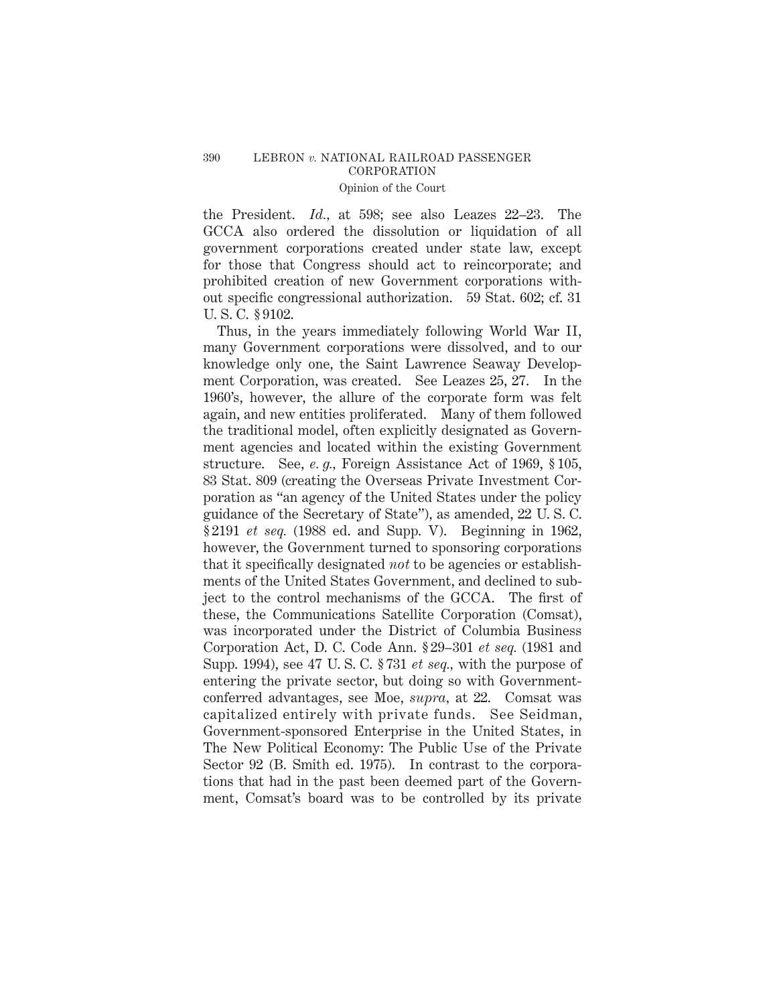the President. *Id.,* at 598; see also Leazes 22–23. The GCCA also ordered the dissolution or liquidation of all government corporations created under state law, except for those that Congress should act to reincorporate; and prohibited creation of new Government corporations without specific congressional authorization. 59 Stat. 602; cf. 31 U. S. C. § 9102.

Thus, in the years immediately following World War II, many Government corporations were dissolved, and to our knowledge only one, the Saint Lawrence Seaway Development Corporation, was created. See Leazes 25, 27. In the 1960's, however, the allure of the corporate form was felt again, and new entities proliferated. Many of them followed the traditional model, often explicitly designated as Government agencies and located within the existing Government structure. See, *e. g.,* Foreign Assistance Act of 1969, § 105, 83 Stat. 809 (creating the Overseas Private Investment Corporation as "an agency of the United States under the policy guidance of the Secretary of State"), as amended, 22 U. S. C. § 2191 *et seq.* (1988 ed. and Supp. V). Beginning in 1962, however, the Government turned to sponsoring corporations that it specifically designated *not* to be agencies or establishments of the United States Government, and declined to subject to the control mechanisms of the GCCA. The first of these, the Communications Satellite Corporation (Comsat), was incorporated under the District of Columbia Business Corporation Act, D. C. Code Ann. § 29–301 *et seq.* (1981 and Supp. 1994), see 47 U. S. C. § 731 *et seq.,* with the purpose of entering the private sector, but doing so with Governmentconferred advantages, see Moe, *supra,* at 22. Comsat was capitalized entirely with private funds. See Seidman, Government-sponsored Enterprise in the United States, in The New Political Economy: The Public Use of the Private Sector 92 (B. Smith ed. 1975). In contrast to the corporations that had in the past been deemed part of the Government, Comsat's board was to be controlled by its private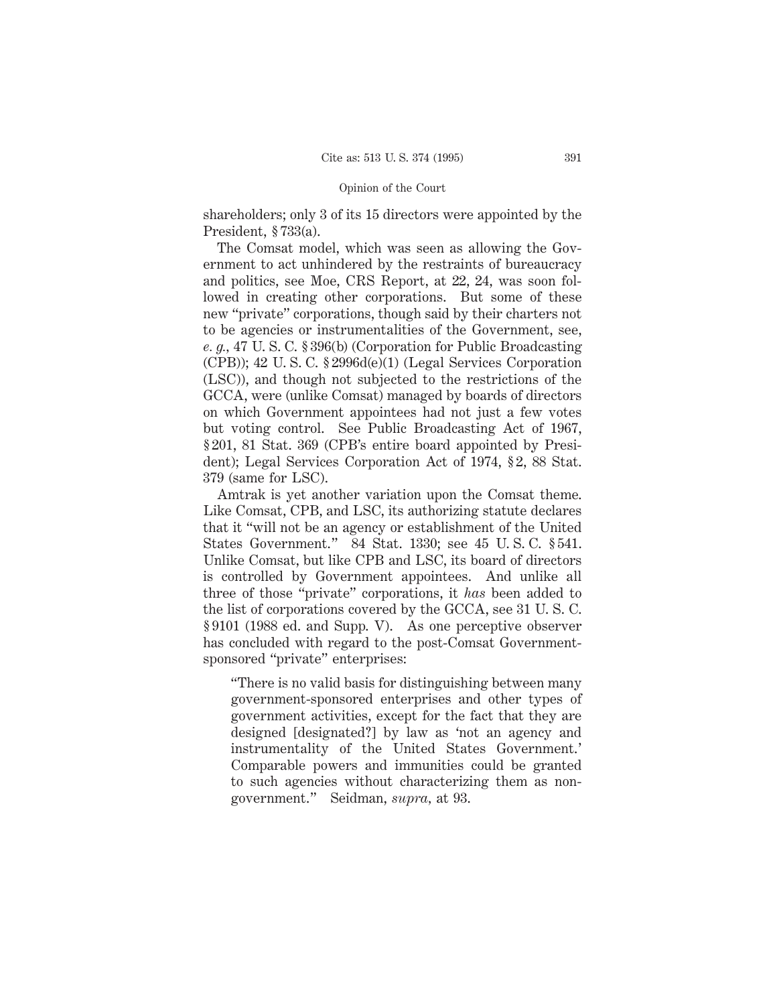shareholders; only 3 of its 15 directors were appointed by the President, § 733(a).

The Comsat model, which was seen as allowing the Government to act unhindered by the restraints of bureaucracy and politics, see Moe, CRS Report, at 22, 24, was soon followed in creating other corporations. But some of these new "private" corporations, though said by their charters not to be agencies or instrumentalities of the Government, see, *e. g.,* 47 U. S. C. § 396(b) (Corporation for Public Broadcasting (CPB)); 42 U. S. C. § 2996d(e)(1) (Legal Services Corporation (LSC)), and though not subjected to the restrictions of the GCCA, were (unlike Comsat) managed by boards of directors on which Government appointees had not just a few votes but voting control. See Public Broadcasting Act of 1967, § 201, 81 Stat. 369 (CPB's entire board appointed by President); Legal Services Corporation Act of 1974, § 2, 88 Stat. 379 (same for LSC).

Amtrak is yet another variation upon the Comsat theme. Like Comsat, CPB, and LSC, its authorizing statute declares that it "will not be an agency or establishment of the United States Government." 84 Stat. 1330; see 45 U. S. C. § 541. Unlike Comsat, but like CPB and LSC, its board of directors is controlled by Government appointees. And unlike all three of those "private" corporations, it *has* been added to the list of corporations covered by the GCCA, see 31 U. S. C. § 9101 (1988 ed. and Supp. V). As one perceptive observer has concluded with regard to the post-Comsat Governmentsponsored "private" enterprises:

"There is no valid basis for distinguishing between many government-sponsored enterprises and other types of government activities, except for the fact that they are designed [designated?] by law as 'not an agency and instrumentality of the United States Government.' Comparable powers and immunities could be granted to such agencies without characterizing them as nongovernment." Seidman, *supra,* at 93.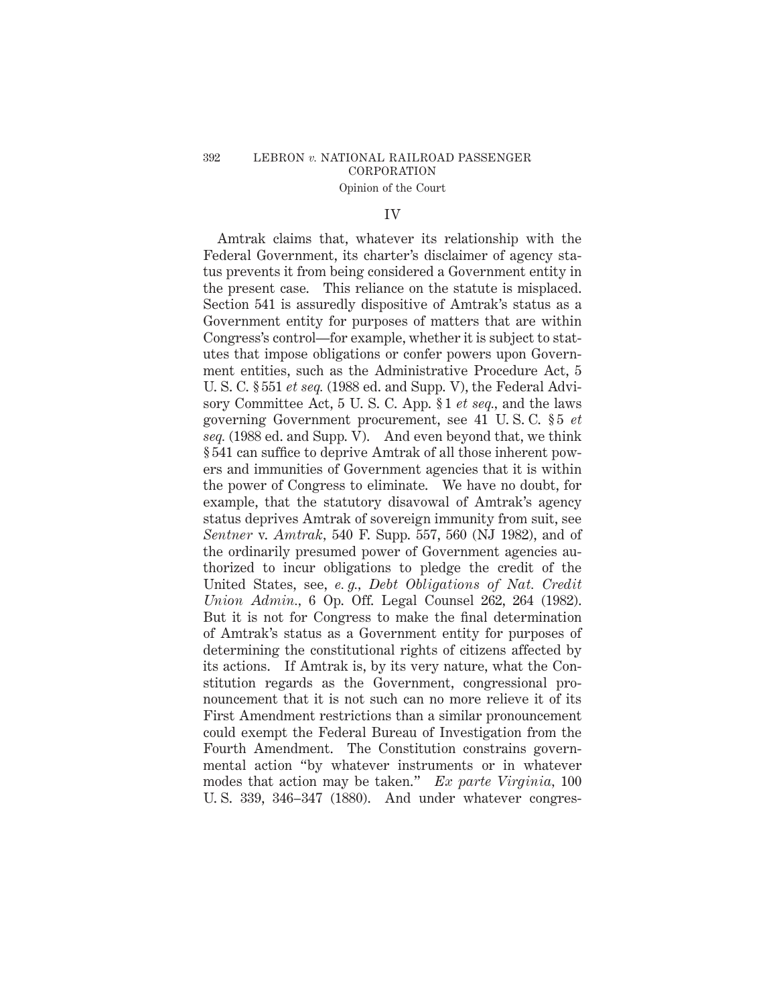## 392 LEBRON *v.* NATIONAL RAILROAD PASSENGER CORPORATION Opinion of the Court

## IV

Amtrak claims that, whatever its relationship with the Federal Government, its charter's disclaimer of agency status prevents it from being considered a Government entity in the present case. This reliance on the statute is misplaced. Section 541 is assuredly dispositive of Amtrak's status as a Government entity for purposes of matters that are within Congress's control—for example, whether it is subject to statutes that impose obligations or confer powers upon Government entities, such as the Administrative Procedure Act, 5 U. S. C. § 551 *et seq.* (1988 ed. and Supp. V), the Federal Advisory Committee Act, 5 U. S. C. App. § 1 *et seq.,* and the laws governing Government procurement, see 41 U. S. C. § 5 *et seq.* (1988 ed. and Supp. V). And even beyond that, we think § 541 can suffice to deprive Amtrak of all those inherent powers and immunities of Government agencies that it is within the power of Congress to eliminate. We have no doubt, for example, that the statutory disavowal of Amtrak's agency status deprives Amtrak of sovereign immunity from suit, see *Sentner* v. *Amtrak,* 540 F. Supp. 557, 560 (NJ 1982), and of the ordinarily presumed power of Government agencies authorized to incur obligations to pledge the credit of the United States, see, *e. g., Debt Obligations of Nat. Credit Union Admin.,* 6 Op. Off. Legal Counsel 262, 264 (1982). But it is not for Congress to make the final determination of Amtrak's status as a Government entity for purposes of determining the constitutional rights of citizens affected by its actions. If Amtrak is, by its very nature, what the Constitution regards as the Government, congressional pronouncement that it is not such can no more relieve it of its First Amendment restrictions than a similar pronouncement could exempt the Federal Bureau of Investigation from the Fourth Amendment. The Constitution constrains governmental action "by whatever instruments or in whatever modes that action may be taken." *Ex parte Virginia,* 100 U. S. 339, 346–347 (1880). And under whatever congres-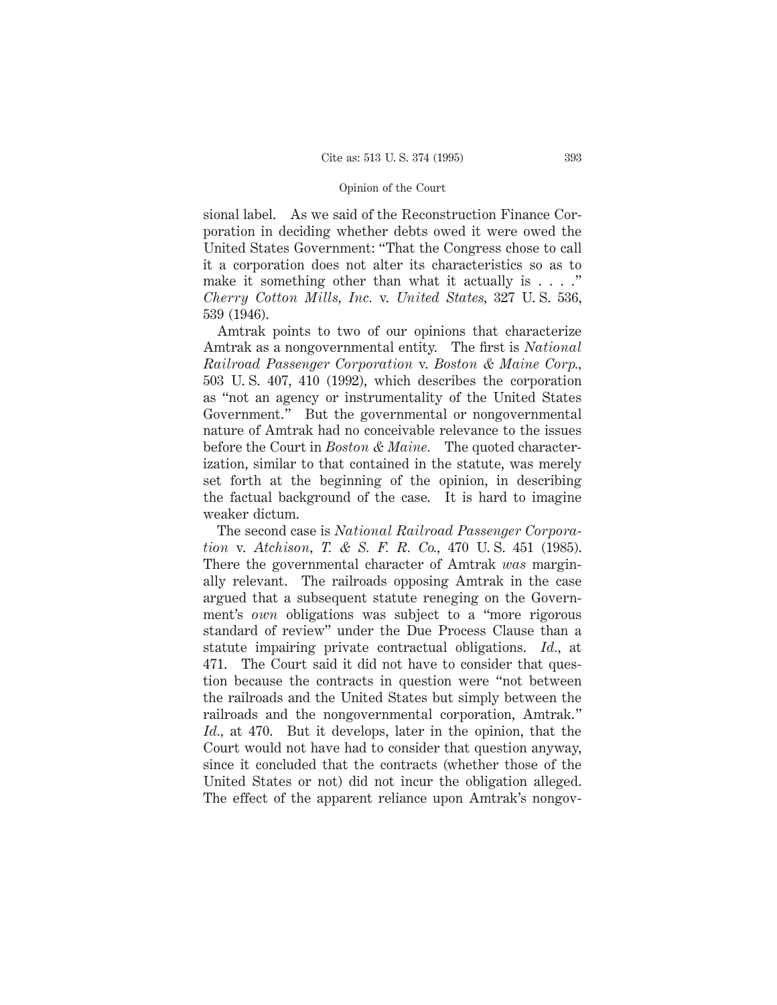sional label. As we said of the Reconstruction Finance Corporation in deciding whether debts owed it were owed the United States Government: "That the Congress chose to call it a corporation does not alter its characteristics so as to make it something other than what it actually is  $\dots$ ." *Cherry Cotton Mills, Inc.* v. *United States,* 327 U. S. 536, 539 (1946).

Amtrak points to two of our opinions that characterize Amtrak as a nongovernmental entity. The first is *National Railroad Passenger Corporation* v. *Boston & Maine Corp.,* 503 U. S. 407, 410 (1992), which describes the corporation as "not an agency or instrumentality of the United States Government." But the governmental or nongovernmental nature of Amtrak had no conceivable relevance to the issues before the Court in *Boston & Maine.* The quoted characterization, similar to that contained in the statute, was merely set forth at the beginning of the opinion, in describing the factual background of the case. It is hard to imagine weaker dictum.

The second case is *National Railroad Passenger Corporation* v. *Atchison, T. & S. F. R. Co.,* 470 U. S. 451 (1985). There the governmental character of Amtrak *was* marginally relevant. The railroads opposing Amtrak in the case argued that a subsequent statute reneging on the Government's *own* obligations was subject to a "more rigorous standard of review" under the Due Process Clause than a statute impairing private contractual obligations. *Id.,* at 471. The Court said it did not have to consider that question because the contracts in question were "not between the railroads and the United States but simply between the railroads and the nongovernmental corporation, Amtrak." *Id.,* at 470. But it develops, later in the opinion, that the Court would not have had to consider that question anyway, since it concluded that the contracts (whether those of the United States or not) did not incur the obligation alleged. The effect of the apparent reliance upon Amtrak's nongov-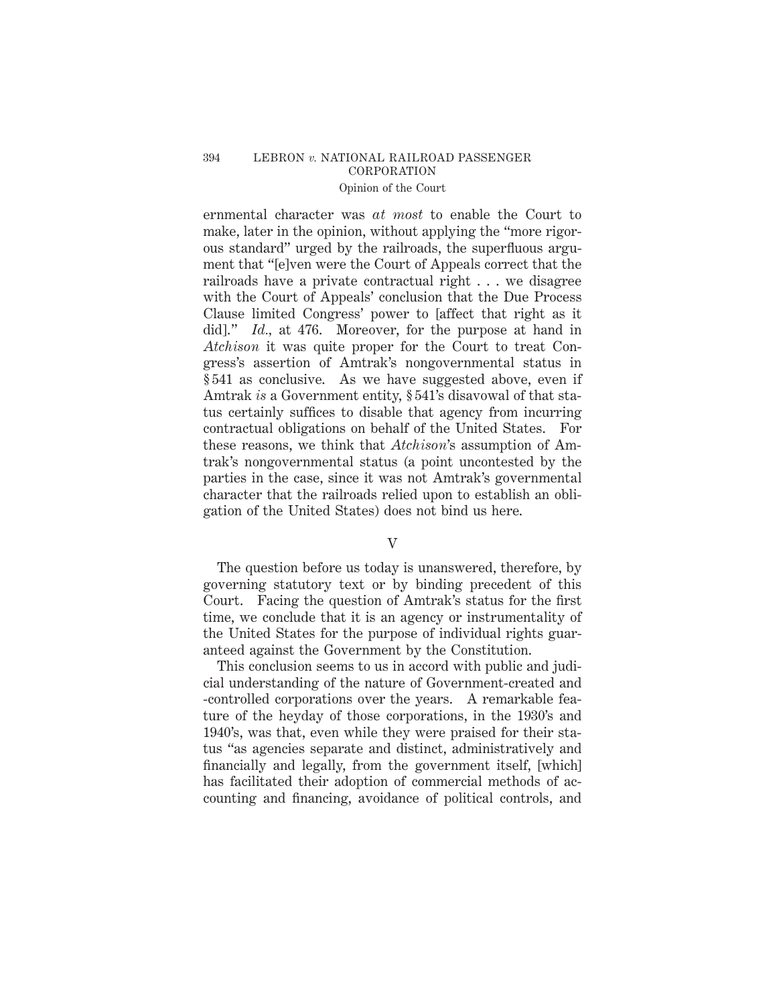# 394 LEBRON *v.* NATIONAL RAILROAD PASSENGER CORPORATION

# Opinion of the Court

ernmental character was *at most* to enable the Court to make, later in the opinion, without applying the "more rigorous standard" urged by the railroads, the superfluous argument that "[e]ven were the Court of Appeals correct that the railroads have a private contractual right . . . we disagree with the Court of Appeals' conclusion that the Due Process Clause limited Congress' power to [affect that right as it did]." *Id.,* at 476. Moreover, for the purpose at hand in *Atchison* it was quite proper for the Court to treat Congress's assertion of Amtrak's nongovernmental status in § 541 as conclusive. As we have suggested above, even if Amtrak *is* a Government entity, § 541's disavowal of that status certainly suffices to disable that agency from incurring contractual obligations on behalf of the United States. For these reasons, we think that *Atchison*'s assumption of Amtrak's nongovernmental status (a point uncontested by the parties in the case, since it was not Amtrak's governmental character that the railroads relied upon to establish an obligation of the United States) does not bind us here.

V

The question before us today is unanswered, therefore, by governing statutory text or by binding precedent of this Court. Facing the question of Amtrak's status for the first time, we conclude that it is an agency or instrumentality of the United States for the purpose of individual rights guaranteed against the Government by the Constitution.

This conclusion seems to us in accord with public and judicial understanding of the nature of Government-created and -controlled corporations over the years. A remarkable feature of the heyday of those corporations, in the 1930's and 1940's, was that, even while they were praised for their status "as agencies separate and distinct, administratively and financially and legally, from the government itself, [which] has facilitated their adoption of commercial methods of accounting and financing, avoidance of political controls, and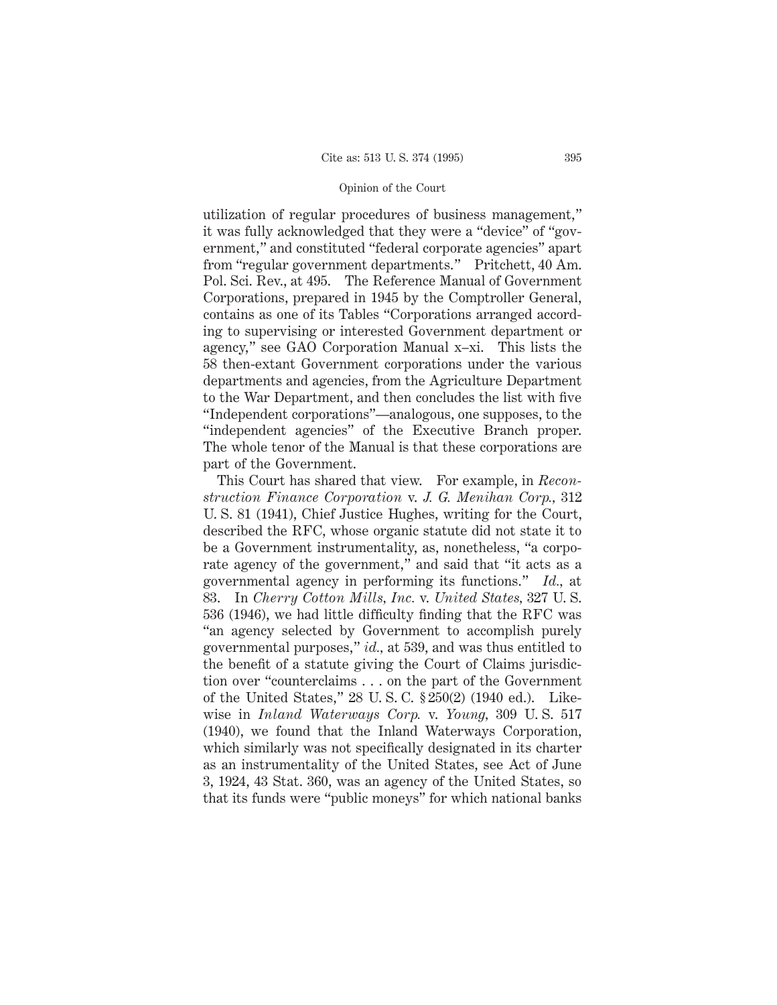utilization of regular procedures of business management," it was fully acknowledged that they were a "device" of "government," and constituted "federal corporate agencies" apart from "regular government departments." Pritchett, 40 Am. Pol. Sci. Rev., at 495. The Reference Manual of Government Corporations, prepared in 1945 by the Comptroller General, contains as one of its Tables "Corporations arranged according to supervising or interested Government department or agency," see GAO Corporation Manual x–xi. This lists the 58 then-extant Government corporations under the various departments and agencies, from the Agriculture Department to the War Department, and then concludes the list with five "Independent corporations"—analogous, one supposes, to the "independent agencies" of the Executive Branch proper. The whole tenor of the Manual is that these corporations are part of the Government.

This Court has shared that view. For example, in *Reconstruction Finance Corporation* v. *J. G. Menihan Corp.,* 312 U. S. 81 (1941), Chief Justice Hughes, writing for the Court, described the RFC, whose organic statute did not state it to be a Government instrumentality, as, nonetheless, "a corporate agency of the government," and said that "it acts as a governmental agency in performing its functions." *Id.,* at 83. In *Cherry Cotton Mills, Inc.* v. *United States,* 327 U. S. 536 (1946), we had little difficulty finding that the RFC was "an agency selected by Government to accomplish purely governmental purposes," *id.,* at 539, and was thus entitled to the benefit of a statute giving the Court of Claims jurisdiction over "counterclaims . . . on the part of the Government of the United States," 28 U. S. C. § 250(2) (1940 ed.). Likewise in *Inland Waterways Corp.* v. *Young,* 309 U. S. 517 (1940), we found that the Inland Waterways Corporation, which similarly was not specifically designated in its charter as an instrumentality of the United States, see Act of June 3, 1924, 43 Stat. 360, was an agency of the United States, so that its funds were "public moneys" for which national banks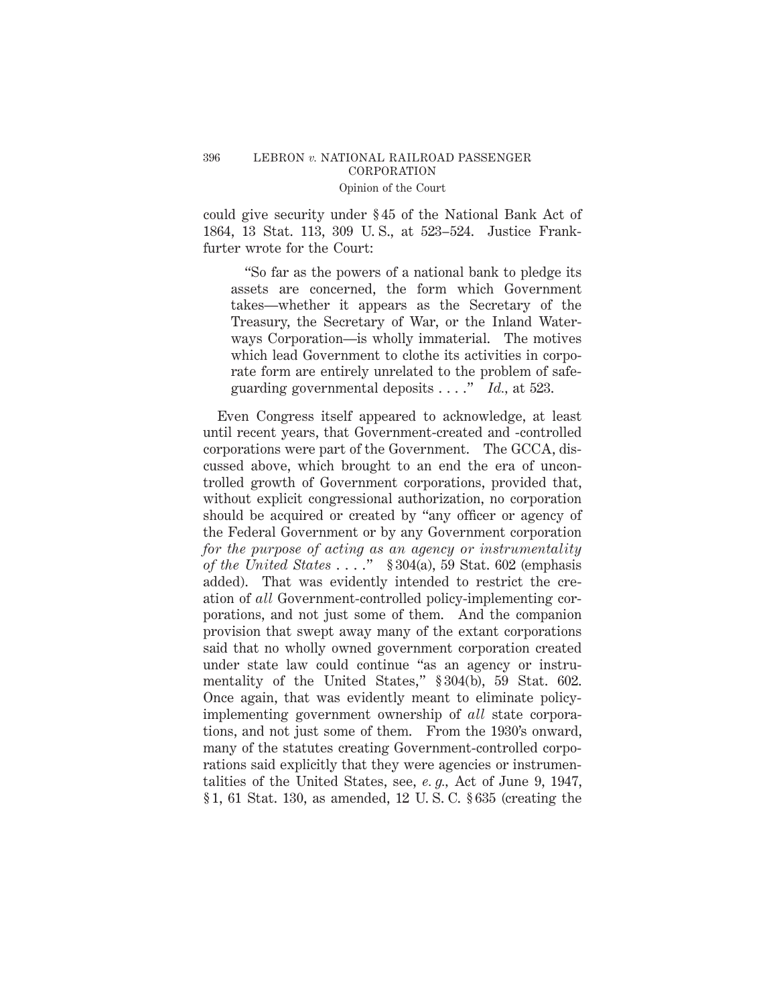# 396 LEBRON *v.* NATIONAL RAILROAD PASSENGER CORPORATION

## Opinion of the Court

could give security under § 45 of the National Bank Act of 1864, 13 Stat. 113, 309 U. S., at 523–524. Justice Frankfurter wrote for the Court:

"So far as the powers of a national bank to pledge its assets are concerned, the form which Government takes—whether it appears as the Secretary of the Treasury, the Secretary of War, or the Inland Waterways Corporation—is wholly immaterial. The motives which lead Government to clothe its activities in corporate form are entirely unrelated to the problem of safeguarding governmental deposits . . . ." *Id.,* at 523.

Even Congress itself appeared to acknowledge, at least until recent years, that Government-created and -controlled corporations were part of the Government. The GCCA, discussed above, which brought to an end the era of uncontrolled growth of Government corporations, provided that, without explicit congressional authorization, no corporation should be acquired or created by "any officer or agency of the Federal Government or by any Government corporation *for the purpose of acting as an agency or instrumentality of the United States* . . . ." § 304(a), 59 Stat. 602 (emphasis added). That was evidently intended to restrict the creation of *all* Government-controlled policy-implementing corporations, and not just some of them. And the companion provision that swept away many of the extant corporations said that no wholly owned government corporation created under state law could continue "as an agency or instrumentality of the United States," § 304(b), 59 Stat. 602. Once again, that was evidently meant to eliminate policyimplementing government ownership of *all* state corporations, and not just some of them. From the 1930's onward, many of the statutes creating Government-controlled corporations said explicitly that they were agencies or instrumentalities of the United States, see, *e. g.,* Act of June 9, 1947, § 1, 61 Stat. 130, as amended, 12 U. S. C. § 635 (creating the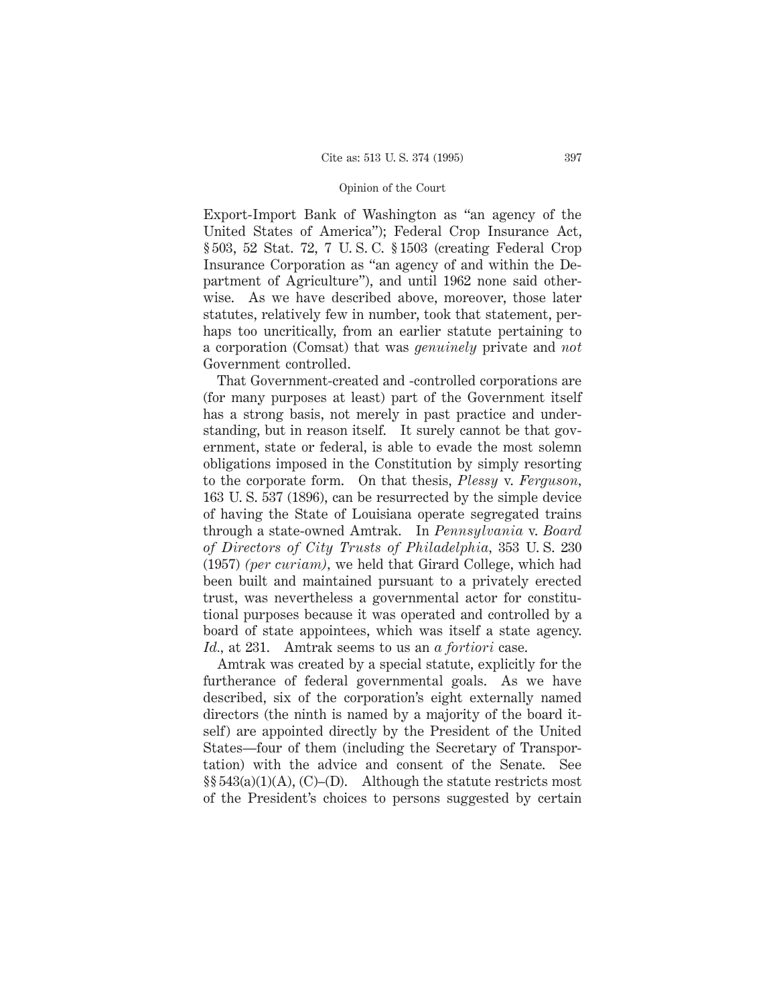Export-Import Bank of Washington as "an agency of the United States of America"); Federal Crop Insurance Act, § 503, 52 Stat. 72, 7 U. S. C. § 1503 (creating Federal Crop Insurance Corporation as "an agency of and within the Department of Agriculture"), and until 1962 none said otherwise. As we have described above, moreover, those later statutes, relatively few in number, took that statement, perhaps too uncritically, from an earlier statute pertaining to a corporation (Comsat) that was *genuinely* private and *not* Government controlled.

That Government-created and -controlled corporations are (for many purposes at least) part of the Government itself has a strong basis, not merely in past practice and understanding, but in reason itself. It surely cannot be that government, state or federal, is able to evade the most solemn obligations imposed in the Constitution by simply resorting to the corporate form. On that thesis, *Plessy* v. *Ferguson,* 163 U. S. 537 (1896), can be resurrected by the simple device of having the State of Louisiana operate segregated trains through a state-owned Amtrak. In *Pennsylvania* v. *Board of Directors of City Trusts of Philadelphia,* 353 U. S. 230 (1957) *(per curiam),* we held that Girard College, which had been built and maintained pursuant to a privately erected trust, was nevertheless a governmental actor for constitutional purposes because it was operated and controlled by a board of state appointees, which was itself a state agency. *Id.,* at 231. Amtrak seems to us an *a fortiori* case.

Amtrak was created by a special statute, explicitly for the furtherance of federal governmental goals. As we have described, six of the corporation's eight externally named directors (the ninth is named by a majority of the board itself) are appointed directly by the President of the United States—four of them (including the Secretary of Transportation) with the advice and consent of the Senate. See  $\S$ §543(a)(1)(A), (C)–(D). Although the statute restricts most of the President's choices to persons suggested by certain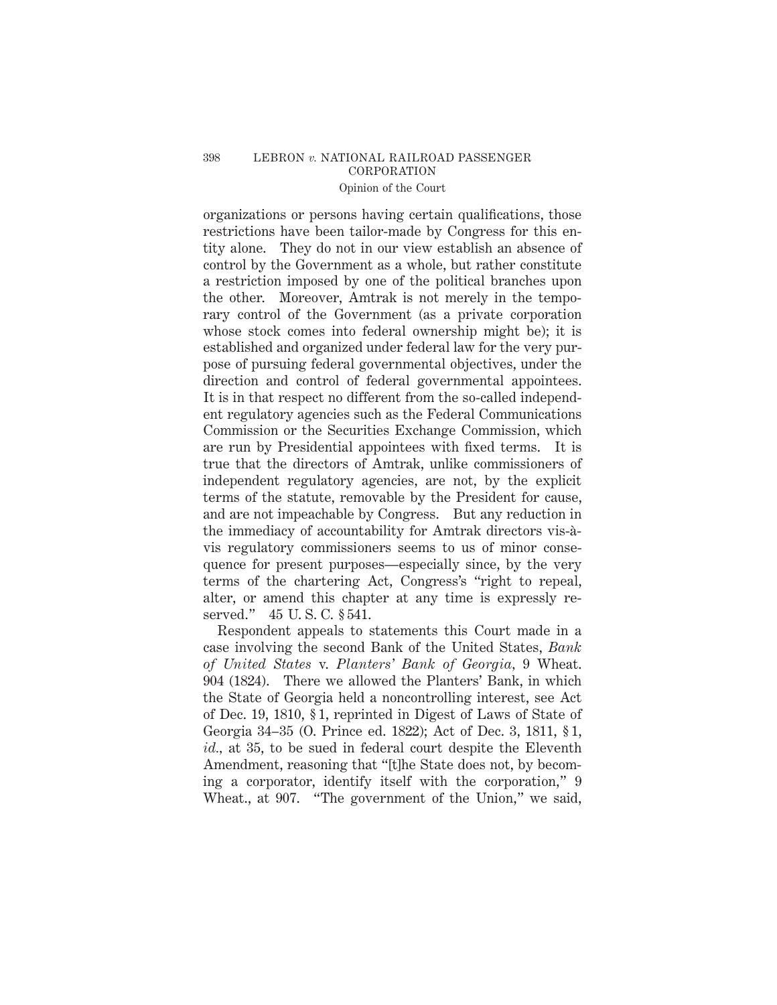# 398 LEBRON *v.* NATIONAL RAILROAD PASSENGER CORPORATION

# Opinion of the Court

organizations or persons having certain qualifications, those restrictions have been tailor-made by Congress for this entity alone. They do not in our view establish an absence of control by the Government as a whole, but rather constitute a restriction imposed by one of the political branches upon the other. Moreover, Amtrak is not merely in the temporary control of the Government (as a private corporation whose stock comes into federal ownership might be); it is established and organized under federal law for the very purpose of pursuing federal governmental objectives, under the direction and control of federal governmental appointees. It is in that respect no different from the so-called independent regulatory agencies such as the Federal Communications Commission or the Securities Exchange Commission, which are run by Presidential appointees with fixed terms. It is true that the directors of Amtrak, unlike commissioners of independent regulatory agencies, are not, by the explicit terms of the statute, removable by the President for cause, and are not impeachable by Congress. But any reduction in the immediacy of accountability for Amtrak directors vis-a` vis regulatory commissioners seems to us of minor consequence for present purposes—especially since, by the very terms of the chartering Act, Congress's "right to repeal, alter, or amend this chapter at any time is expressly reserved." 45 U. S. C. § 541.

Respondent appeals to statements this Court made in a case involving the second Bank of the United States, *Bank of United States* v. *Planters' Bank of Georgia,* 9 Wheat. 904 (1824). There we allowed the Planters' Bank, in which the State of Georgia held a noncontrolling interest, see Act of Dec. 19, 1810, § 1, reprinted in Digest of Laws of State of Georgia 34–35 (O. Prince ed. 1822); Act of Dec. 3, 1811, § 1, *id.,* at 35, to be sued in federal court despite the Eleventh Amendment, reasoning that "[t]he State does not, by becoming a corporator, identify itself with the corporation," 9 Wheat., at 907. "The government of the Union," we said,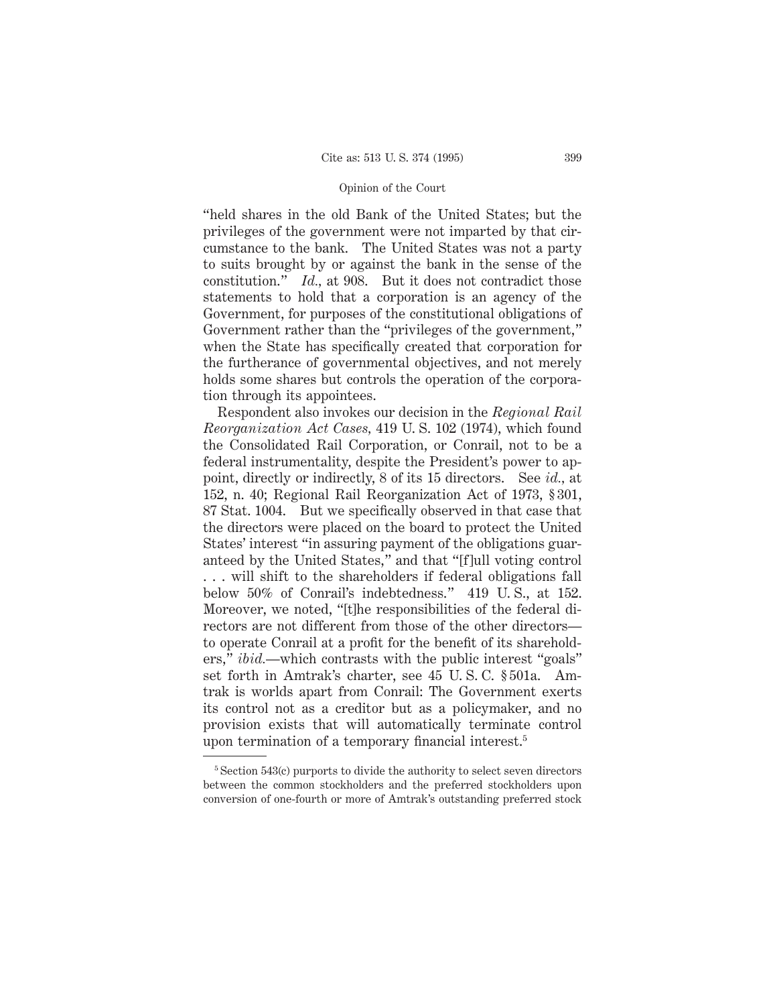"held shares in the old Bank of the United States; but the privileges of the government were not imparted by that circumstance to the bank. The United States was not a party to suits brought by or against the bank in the sense of the constitution." *Id.,* at 908. But it does not contradict those statements to hold that a corporation is an agency of the Government, for purposes of the constitutional obligations of Government rather than the "privileges of the government," when the State has specifically created that corporation for the furtherance of governmental objectives, and not merely holds some shares but controls the operation of the corporation through its appointees.

Respondent also invokes our decision in the *Regional Rail Reorganization Act Cases,* 419 U. S. 102 (1974), which found the Consolidated Rail Corporation, or Conrail, not to be a federal instrumentality, despite the President's power to appoint, directly or indirectly, 8 of its 15 directors. See *id.,* at 152, n. 40; Regional Rail Reorganization Act of 1973, § 301, 87 Stat. 1004. But we specifically observed in that case that the directors were placed on the board to protect the United States' interest "in assuring payment of the obligations guaranteed by the United States," and that "[f]ull voting control . . . will shift to the shareholders if federal obligations fall below 50% of Conrail's indebtedness." 419 U. S., at 152. Moreover, we noted, "[t]he responsibilities of the federal directors are not different from those of the other directors to operate Conrail at a profit for the benefit of its shareholders," *ibid.*—which contrasts with the public interest "goals" set forth in Amtrak's charter, see 45 U. S. C. § 501a. Amtrak is worlds apart from Conrail: The Government exerts its control not as a creditor but as a policymaker, and no provision exists that will automatically terminate control upon termination of a temporary financial interest.<sup>5</sup>

 $5$ <sup>5</sup> Section 543(c) purports to divide the authority to select seven directors between the common stockholders and the preferred stockholders upon conversion of one-fourth or more of Amtrak's outstanding preferred stock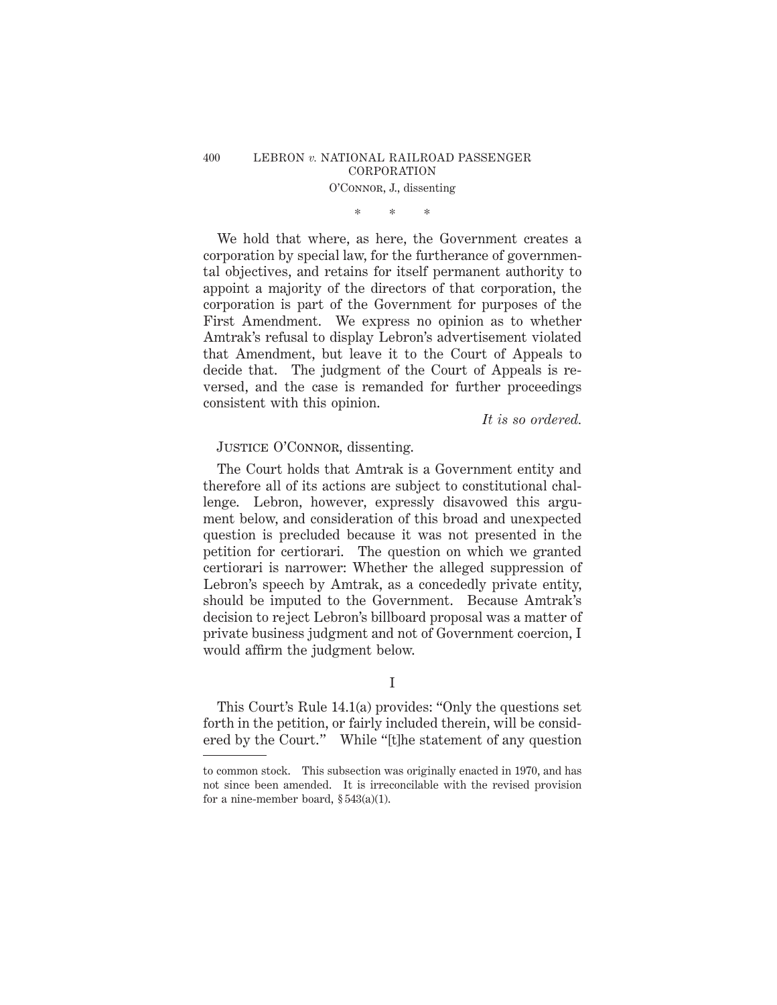# \*\*\*

We hold that where, as here, the Government creates a corporation by special law, for the furtherance of governmental objectives, and retains for itself permanent authority to appoint a majority of the directors of that corporation, the corporation is part of the Government for purposes of the First Amendment. We express no opinion as to whether Amtrak's refusal to display Lebron's advertisement violated that Amendment, but leave it to the Court of Appeals to decide that. The judgment of the Court of Appeals is reversed, and the case is remanded for further proceedings consistent with this opinion.

*It is so ordered.*

## JUSTICE O'CONNOR, dissenting.

The Court holds that Amtrak is a Government entity and therefore all of its actions are subject to constitutional challenge. Lebron, however, expressly disavowed this argument below, and consideration of this broad and unexpected question is precluded because it was not presented in the petition for certiorari. The question on which we granted certiorari is narrower: Whether the alleged suppression of Lebron's speech by Amtrak, as a concededly private entity, should be imputed to the Government. Because Amtrak's decision to reject Lebron's billboard proposal was a matter of private business judgment and not of Government coercion, I would affirm the judgment below.

I

This Court's Rule 14.1(a) provides: "Only the questions set forth in the petition, or fairly included therein, will be considered by the Court." While "[t]he statement of any question

to common stock. This subsection was originally enacted in 1970, and has not since been amended. It is irreconcilable with the revised provision for a nine-member board, § 543(a)(1).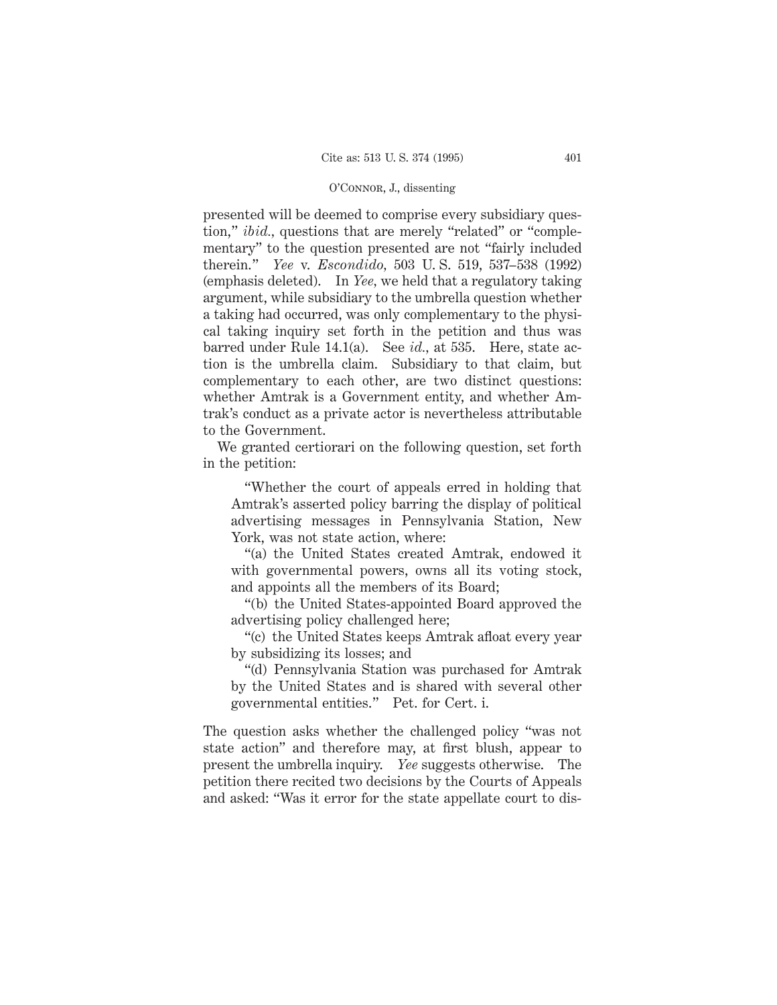presented will be deemed to comprise every subsidiary question," *ibid.*, questions that are merely "related" or "complementary" to the question presented are not "fairly included therein." *Yee* v. *Escondido,* 503 U. S. 519, 537–538 (1992) (emphasis deleted). In *Yee,* we held that a regulatory taking argument, while subsidiary to the umbrella question whether a taking had occurred, was only complementary to the physical taking inquiry set forth in the petition and thus was barred under Rule 14.1(a). See *id.,* at 535. Here, state action is the umbrella claim. Subsidiary to that claim, but complementary to each other, are two distinct questions: whether Amtrak is a Government entity, and whether Amtrak's conduct as a private actor is nevertheless attributable to the Government.

We granted certiorari on the following question, set forth in the petition:

"Whether the court of appeals erred in holding that Amtrak's asserted policy barring the display of political advertising messages in Pennsylvania Station, New York, was not state action, where:

"(a) the United States created Amtrak, endowed it with governmental powers, owns all its voting stock, and appoints all the members of its Board;

"(b) the United States-appointed Board approved the advertising policy challenged here;

"(c) the United States keeps Amtrak afloat every year by subsidizing its losses; and

"(d) Pennsylvania Station was purchased for Amtrak by the United States and is shared with several other governmental entities." Pet. for Cert. i.

The question asks whether the challenged policy "was not state action" and therefore may, at first blush, appear to present the umbrella inquiry. *Yee* suggests otherwise. The petition there recited two decisions by the Courts of Appeals and asked: "Was it error for the state appellate court to dis-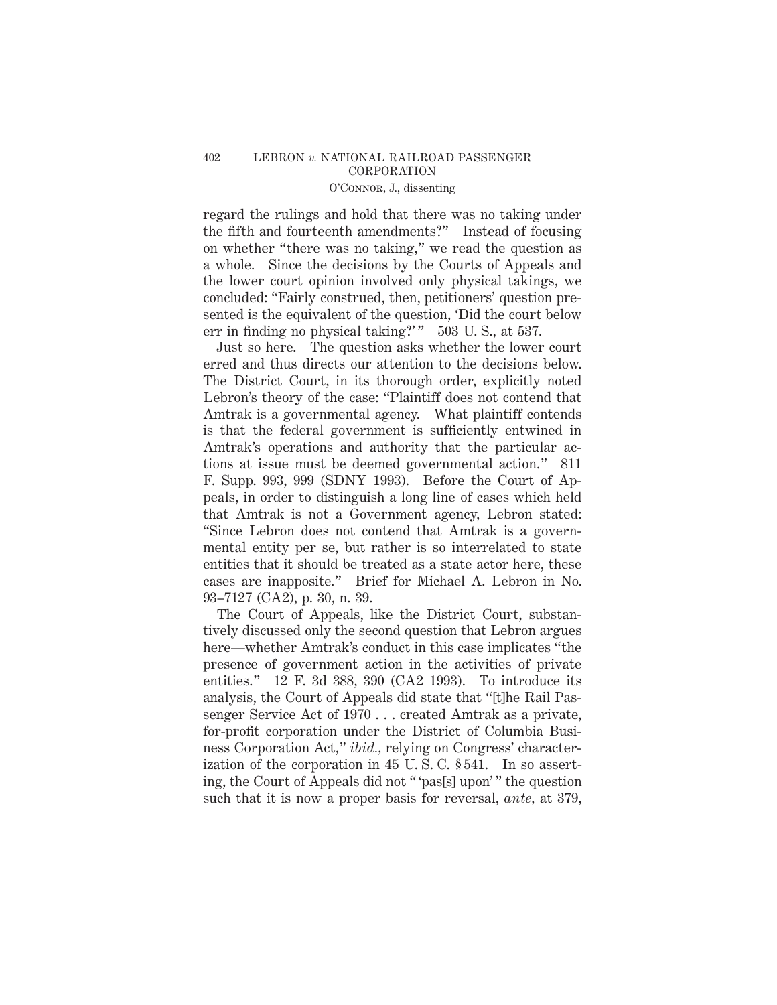regard the rulings and hold that there was no taking under the fifth and fourteenth amendments?" Instead of focusing on whether "there was no taking," we read the question as a whole. Since the decisions by the Courts of Appeals and the lower court opinion involved only physical takings, we concluded: "Fairly construed, then, petitioners' question presented is the equivalent of the question, 'Did the court below err in finding no physical taking?'" 503 U.S., at 537.

Just so here. The question asks whether the lower court erred and thus directs our attention to the decisions below. The District Court, in its thorough order, explicitly noted Lebron's theory of the case: "Plaintiff does not contend that Amtrak is a governmental agency. What plaintiff contends is that the federal government is sufficiently entwined in Amtrak's operations and authority that the particular actions at issue must be deemed governmental action." 811 F. Supp. 993, 999 (SDNY 1993). Before the Court of Appeals, in order to distinguish a long line of cases which held that Amtrak is not a Government agency, Lebron stated: "Since Lebron does not contend that Amtrak is a governmental entity per se, but rather is so interrelated to state entities that it should be treated as a state actor here, these cases are inapposite." Brief for Michael A. Lebron in No. 93–7127 (CA2), p. 30, n. 39.

The Court of Appeals, like the District Court, substantively discussed only the second question that Lebron argues here—whether Amtrak's conduct in this case implicates "the presence of government action in the activities of private entities." 12 F. 3d 388, 390 (CA2 1993). To introduce its analysis, the Court of Appeals did state that "[t]he Rail Passenger Service Act of 1970 . . . created Amtrak as a private, for-profit corporation under the District of Columbia Business Corporation Act," *ibid.,* relying on Congress' characterization of the corporation in 45 U. S. C. § 541. In so asserting, the Court of Appeals did not " 'pas[s] upon' " the question such that it is now a proper basis for reversal, *ante,* at 379,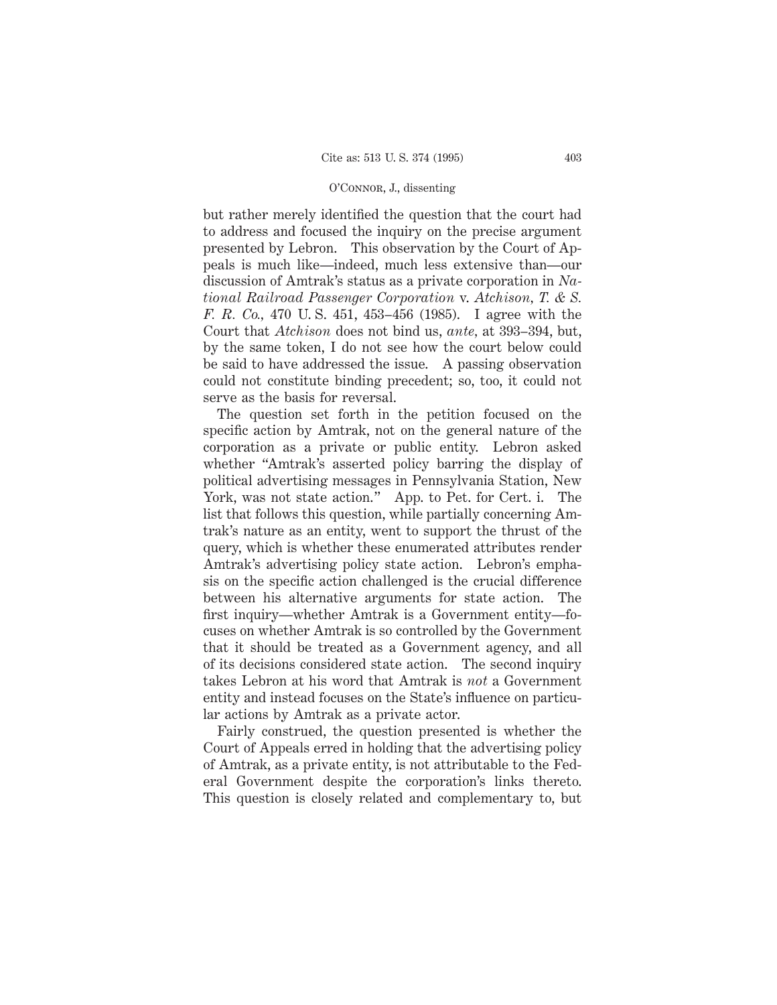but rather merely identified the question that the court had to address and focused the inquiry on the precise argument presented by Lebron. This observation by the Court of Appeals is much like—indeed, much less extensive than—our discussion of Amtrak's status as a private corporation in *National Railroad Passenger Corporation* v. *Atchison, T. & S. F. R. Co.,* 470 U. S. 451, 453–456 (1985). I agree with the Court that *Atchison* does not bind us, *ante,* at 393–394, but, by the same token, I do not see how the court below could be said to have addressed the issue. A passing observation could not constitute binding precedent; so, too, it could not serve as the basis for reversal.

The question set forth in the petition focused on the specific action by Amtrak, not on the general nature of the corporation as a private or public entity. Lebron asked whether "Amtrak's asserted policy barring the display of political advertising messages in Pennsylvania Station, New York, was not state action." App. to Pet. for Cert. i. The list that follows this question, while partially concerning Amtrak's nature as an entity, went to support the thrust of the query, which is whether these enumerated attributes render Amtrak's advertising policy state action. Lebron's emphasis on the specific action challenged is the crucial difference between his alternative arguments for state action. The first inquiry—whether Amtrak is a Government entity—focuses on whether Amtrak is so controlled by the Government that it should be treated as a Government agency, and all of its decisions considered state action. The second inquiry takes Lebron at his word that Amtrak is *not* a Government entity and instead focuses on the State's influence on particular actions by Amtrak as a private actor.

Fairly construed, the question presented is whether the Court of Appeals erred in holding that the advertising policy of Amtrak, as a private entity, is not attributable to the Federal Government despite the corporation's links thereto. This question is closely related and complementary to, but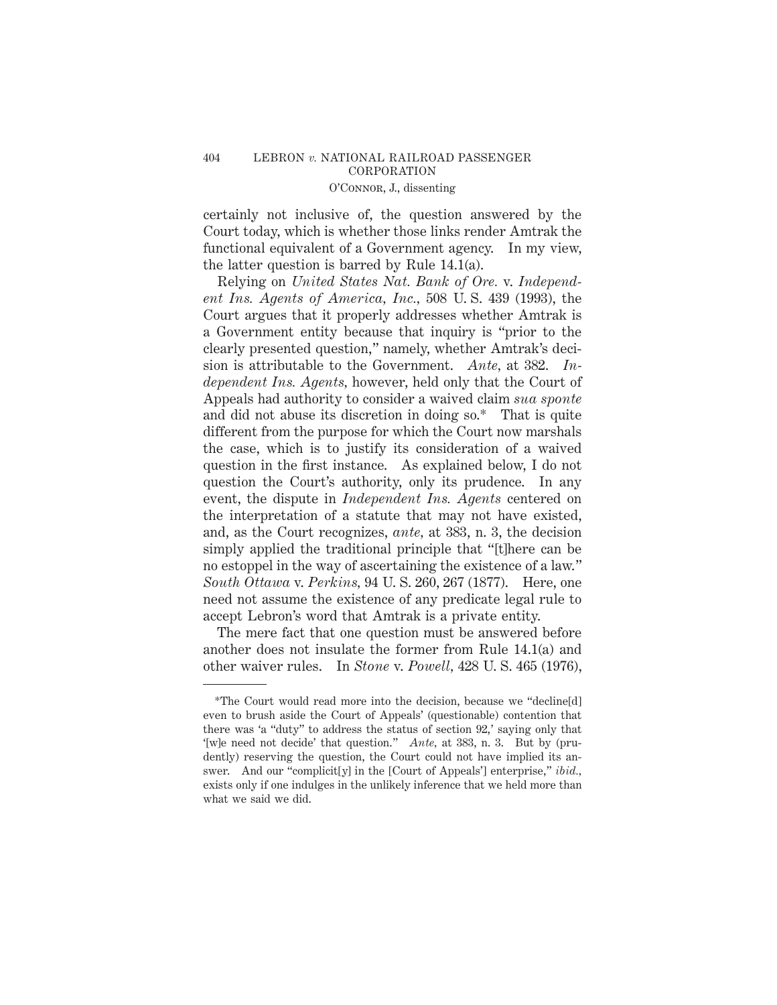certainly not inclusive of, the question answered by the Court today, which is whether those links render Amtrak the functional equivalent of a Government agency. In my view, the latter question is barred by Rule 14.1(a).

Relying on *United States Nat. Bank of Ore.* v. *Independent Ins. Agents of America, Inc.,* 508 U. S. 439 (1993), the Court argues that it properly addresses whether Amtrak is a Government entity because that inquiry is "prior to the clearly presented question," namely, whether Amtrak's decision is attributable to the Government. *Ante,* at 382. *Independent Ins. Agents,* however, held only that the Court of Appeals had authority to consider a waived claim *sua sponte* and did not abuse its discretion in doing so.\* That is quite different from the purpose for which the Court now marshals the case, which is to justify its consideration of a waived question in the first instance. As explained below, I do not question the Court's authority, only its prudence. In any event, the dispute in *Independent Ins. Agents* centered on the interpretation of a statute that may not have existed, and, as the Court recognizes, *ante,* at 383, n. 3, the decision simply applied the traditional principle that "[t]here can be no estoppel in the way of ascertaining the existence of a law." *South Ottawa* v. *Perkins,* 94 U. S. 260, 267 (1877). Here, one need not assume the existence of any predicate legal rule to accept Lebron's word that Amtrak is a private entity.

The mere fact that one question must be answered before another does not insulate the former from Rule 14.1(a) and other waiver rules. In *Stone* v. *Powell,* 428 U. S. 465 (1976),

<sup>\*</sup>The Court would read more into the decision, because we "decline[d] even to brush aside the Court of Appeals' (questionable) contention that there was 'a "duty" to address the status of section 92,' saying only that '[w]e need not decide' that question." *Ante,* at 383, n. 3. But by (prudently) reserving the question, the Court could not have implied its answer. And our "complicit[y] in the [Court of Appeals'] enterprise," *ibid.,* exists only if one indulges in the unlikely inference that we held more than what we said we did.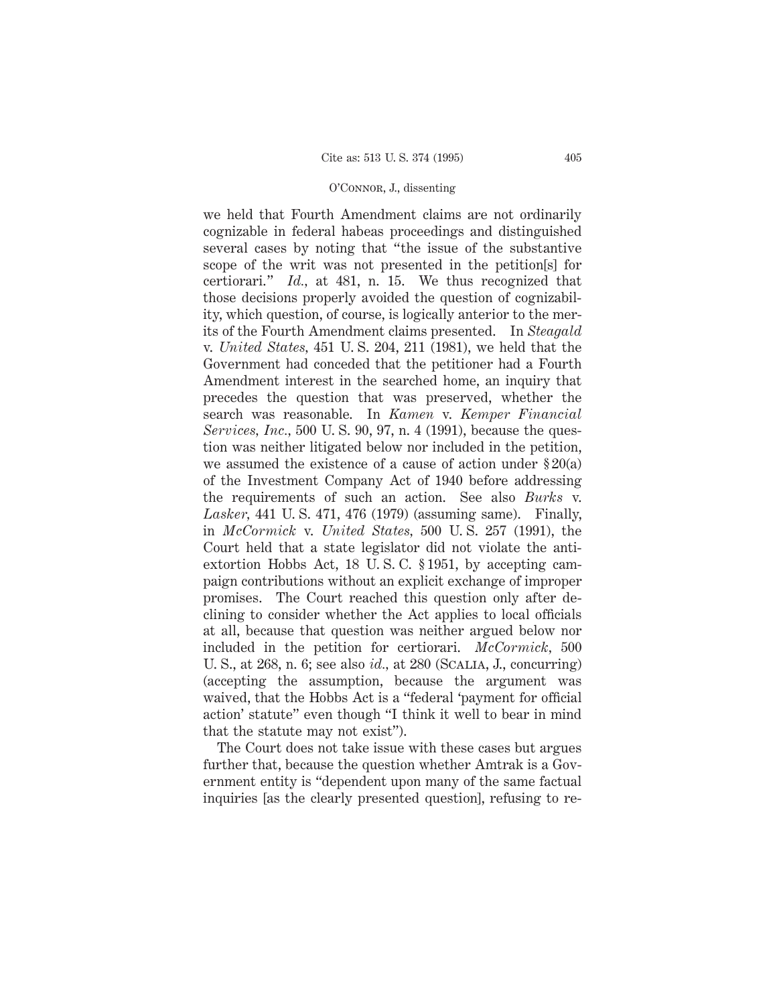we held that Fourth Amendment claims are not ordinarily cognizable in federal habeas proceedings and distinguished several cases by noting that "the issue of the substantive scope of the writ was not presented in the petition[s] for certiorari." *Id.,* at 481, n. 15. We thus recognized that those decisions properly avoided the question of cognizability, which question, of course, is logically anterior to the merits of the Fourth Amendment claims presented. In *Steagald* v. *United States,* 451 U. S. 204, 211 (1981), we held that the Government had conceded that the petitioner had a Fourth Amendment interest in the searched home, an inquiry that precedes the question that was preserved, whether the search was reasonable. In *Kamen* v. *Kemper Financial Services, Inc.,* 500 U. S. 90, 97, n. 4 (1991), because the question was neither litigated below nor included in the petition, we assumed the existence of a cause of action under § 20(a) of the Investment Company Act of 1940 before addressing the requirements of such an action. See also *Burks* v. *Lasker,* 441 U. S. 471, 476 (1979) (assuming same). Finally, in *McCormick* v. *United States,* 500 U. S. 257 (1991), the Court held that a state legislator did not violate the antiextortion Hobbs Act, 18 U. S. C. § 1951, by accepting campaign contributions without an explicit exchange of improper promises. The Court reached this question only after declining to consider whether the Act applies to local officials at all, because that question was neither argued below nor included in the petition for certiorari. *McCormick,* 500 U. S., at 268, n. 6; see also *id.,* at 280 (Scalia, J., concurring) (accepting the assumption, because the argument was waived, that the Hobbs Act is a "federal 'payment for official action' statute" even though "I think it well to bear in mind that the statute may not exist").

The Court does not take issue with these cases but argues further that, because the question whether Amtrak is a Government entity is "dependent upon many of the same factual inquiries [as the clearly presented question], refusing to re-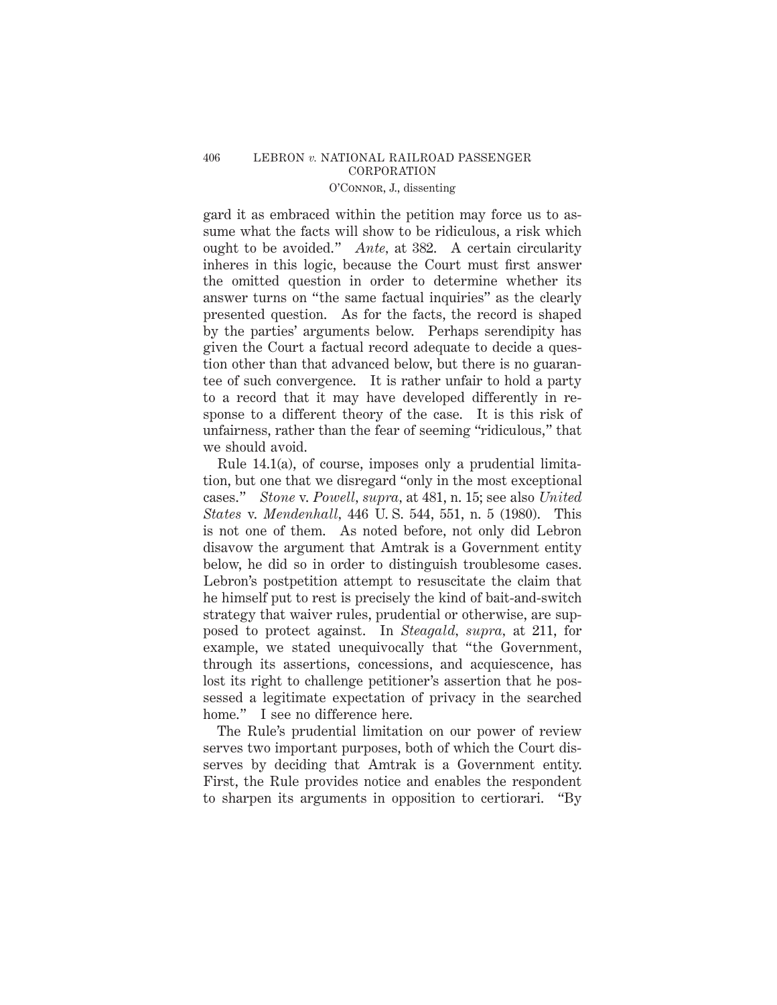gard it as embraced within the petition may force us to assume what the facts will show to be ridiculous, a risk which ought to be avoided." *Ante,* at 382. A certain circularity inheres in this logic, because the Court must first answer the omitted question in order to determine whether its answer turns on "the same factual inquiries" as the clearly presented question. As for the facts, the record is shaped by the parties' arguments below. Perhaps serendipity has given the Court a factual record adequate to decide a question other than that advanced below, but there is no guarantee of such convergence. It is rather unfair to hold a party to a record that it may have developed differently in response to a different theory of the case. It is this risk of unfairness, rather than the fear of seeming "ridiculous," that we should avoid.

Rule 14.1(a), of course, imposes only a prudential limitation, but one that we disregard "only in the most exceptional cases." *Stone* v. *Powell, supra,* at 481, n. 15; see also *United States* v. *Mendenhall,* 446 U. S. 544, 551, n. 5 (1980). This is not one of them. As noted before, not only did Lebron disavow the argument that Amtrak is a Government entity below, he did so in order to distinguish troublesome cases. Lebron's postpetition attempt to resuscitate the claim that he himself put to rest is precisely the kind of bait-and-switch strategy that waiver rules, prudential or otherwise, are supposed to protect against. In *Steagald, supra,* at 211, for example, we stated unequivocally that "the Government, through its assertions, concessions, and acquiescence, has lost its right to challenge petitioner's assertion that he possessed a legitimate expectation of privacy in the searched home." I see no difference here.

The Rule's prudential limitation on our power of review serves two important purposes, both of which the Court disserves by deciding that Amtrak is a Government entity. First, the Rule provides notice and enables the respondent to sharpen its arguments in opposition to certiorari. "By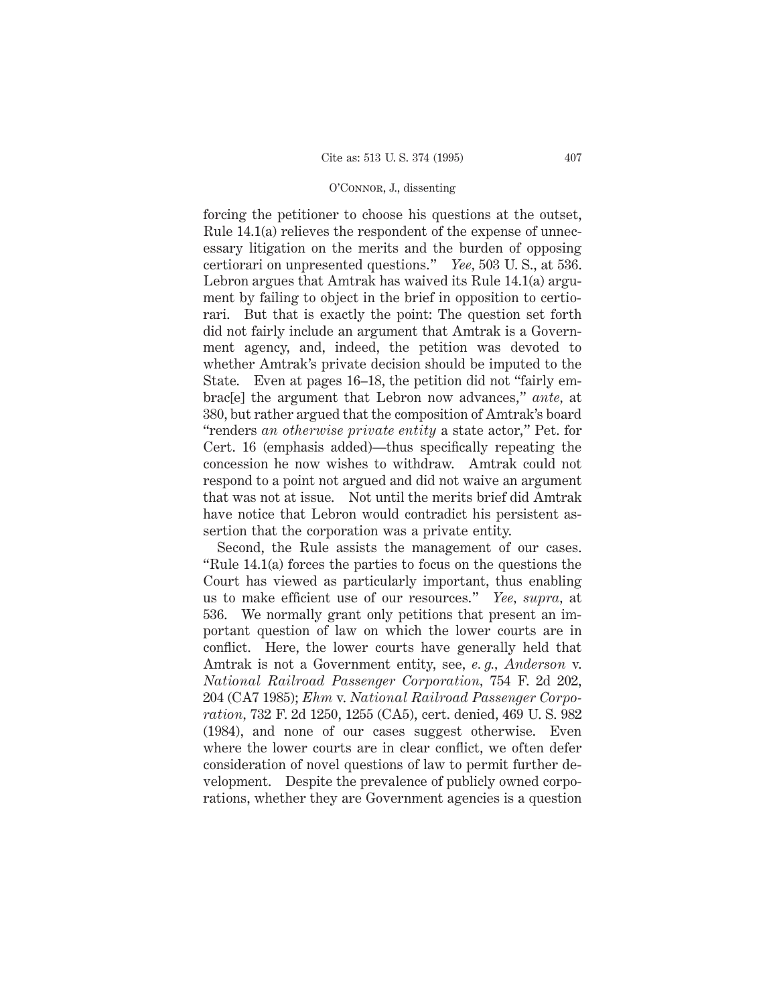forcing the petitioner to choose his questions at the outset, Rule 14.1(a) relieves the respondent of the expense of unnecessary litigation on the merits and the burden of opposing certiorari on unpresented questions." *Yee,* 503 U. S., at 536. Lebron argues that Amtrak has waived its Rule 14.1(a) argument by failing to object in the brief in opposition to certiorari. But that is exactly the point: The question set forth did not fairly include an argument that Amtrak is a Government agency, and, indeed, the petition was devoted to whether Amtrak's private decision should be imputed to the State. Even at pages 16–18, the petition did not "fairly embrac[e] the argument that Lebron now advances," *ante,* at 380, but rather argued that the composition of Amtrak's board "renders *an otherwise private entity* a state actor," Pet. for Cert. 16 (emphasis added)—thus specifically repeating the concession he now wishes to withdraw. Amtrak could not respond to a point not argued and did not waive an argument that was not at issue. Not until the merits brief did Amtrak have notice that Lebron would contradict his persistent assertion that the corporation was a private entity.

Second, the Rule assists the management of our cases. "Rule 14.1(a) forces the parties to focus on the questions the Court has viewed as particularly important, thus enabling us to make efficient use of our resources." *Yee, supra,* at 536. We normally grant only petitions that present an important question of law on which the lower courts are in conflict. Here, the lower courts have generally held that Amtrak is not a Government entity, see, *e. g., Anderson* v. *National Railroad Passenger Corporation,* 754 F. 2d 202, 204 (CA7 1985); *Ehm* v. *National Railroad Passenger Corporation,* 732 F. 2d 1250, 1255 (CA5), cert. denied, 469 U. S. 982 (1984), and none of our cases suggest otherwise. Even where the lower courts are in clear conflict, we often defer consideration of novel questions of law to permit further development. Despite the prevalence of publicly owned corporations, whether they are Government agencies is a question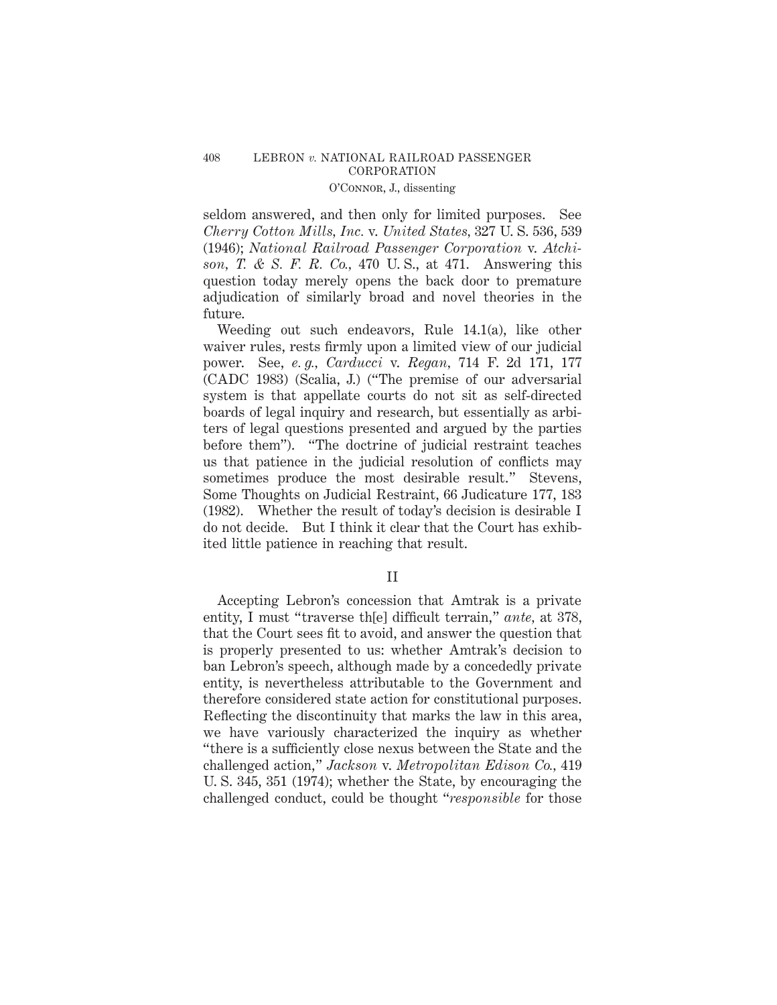seldom answered, and then only for limited purposes. See *Cherry Cotton Mills, Inc.* v. *United States,* 327 U. S. 536, 539 (1946); *National Railroad Passenger Corporation* v. *Atchison, T. & S. F. R. Co.,* 470 U. S., at 471. Answering this question today merely opens the back door to premature adjudication of similarly broad and novel theories in the future.

Weeding out such endeavors, Rule 14.1(a), like other waiver rules, rests firmly upon a limited view of our judicial power. See, *e. g., Carducci* v. *Regan,* 714 F. 2d 171, 177 (CADC 1983) (Scalia, J.) ("The premise of our adversarial system is that appellate courts do not sit as self-directed boards of legal inquiry and research, but essentially as arbiters of legal questions presented and argued by the parties before them"). "The doctrine of judicial restraint teaches us that patience in the judicial resolution of conflicts may sometimes produce the most desirable result." Stevens, Some Thoughts on Judicial Restraint, 66 Judicature 177, 183 (1982). Whether the result of today's decision is desirable I do not decide. But I think it clear that the Court has exhibited little patience in reaching that result.

## II

Accepting Lebron's concession that Amtrak is a private entity, I must "traverse th[e] difficult terrain," *ante,* at 378, that the Court sees fit to avoid, and answer the question that is properly presented to us: whether Amtrak's decision to ban Lebron's speech, although made by a concededly private entity, is nevertheless attributable to the Government and therefore considered state action for constitutional purposes. Reflecting the discontinuity that marks the law in this area, we have variously characterized the inquiry as whether "there is a sufficiently close nexus between the State and the challenged action," *Jackson* v. *Metropolitan Edison Co.,* 419 U. S. 345, 351 (1974); whether the State, by encouraging the challenged conduct, could be thought "*responsible* for those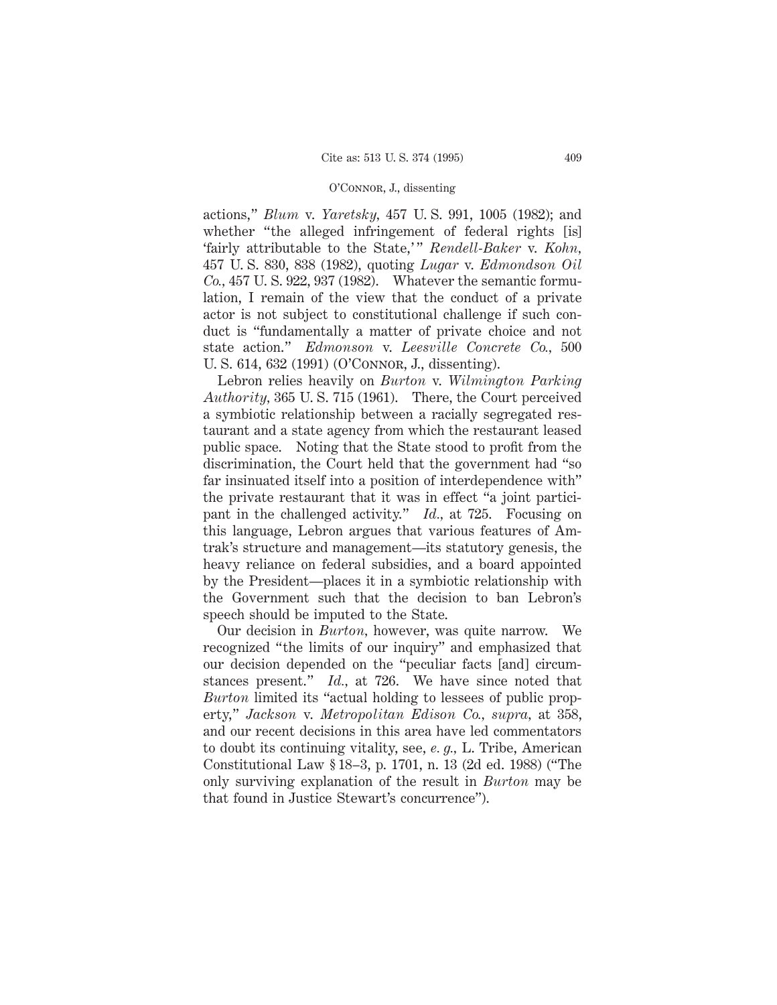actions," *Blum* v. *Yaretsky,* 457 U. S. 991, 1005 (1982); and whether "the alleged infringement of federal rights [is] 'fairly attributable to the State,' " *Rendell-Baker* v. *Kohn,* 457 U. S. 830, 838 (1982), quoting *Lugar* v. *Edmondson Oil Co.,* 457 U. S. 922, 937 (1982). Whatever the semantic formulation, I remain of the view that the conduct of a private actor is not subject to constitutional challenge if such conduct is "fundamentally a matter of private choice and not state action." *Edmonson* v. *Leesville Concrete Co.,* 500 U. S. 614, 632 (1991) (O'Connor, J., dissenting).

Lebron relies heavily on *Burton* v. *Wilmington Parking Authority,* 365 U. S. 715 (1961). There, the Court perceived a symbiotic relationship between a racially segregated restaurant and a state agency from which the restaurant leased public space. Noting that the State stood to profit from the discrimination, the Court held that the government had "so far insinuated itself into a position of interdependence with" the private restaurant that it was in effect "a joint participant in the challenged activity." *Id.,* at 725. Focusing on this language, Lebron argues that various features of Amtrak's structure and management—its statutory genesis, the heavy reliance on federal subsidies, and a board appointed by the President—places it in a symbiotic relationship with the Government such that the decision to ban Lebron's speech should be imputed to the State.

Our decision in *Burton,* however, was quite narrow. We recognized "the limits of our inquiry" and emphasized that our decision depended on the "peculiar facts [and] circumstances present." *Id.,* at 726. We have since noted that *Burton* limited its "actual holding to lessees of public property," *Jackson* v. *Metropolitan Edison Co., supra,* at 358, and our recent decisions in this area have led commentators to doubt its continuing vitality, see, *e. g.,* L. Tribe, American Constitutional Law § 18–3, p. 1701, n. 13 (2d ed. 1988) ("The only surviving explanation of the result in *Burton* may be that found in Justice Stewart's concurrence").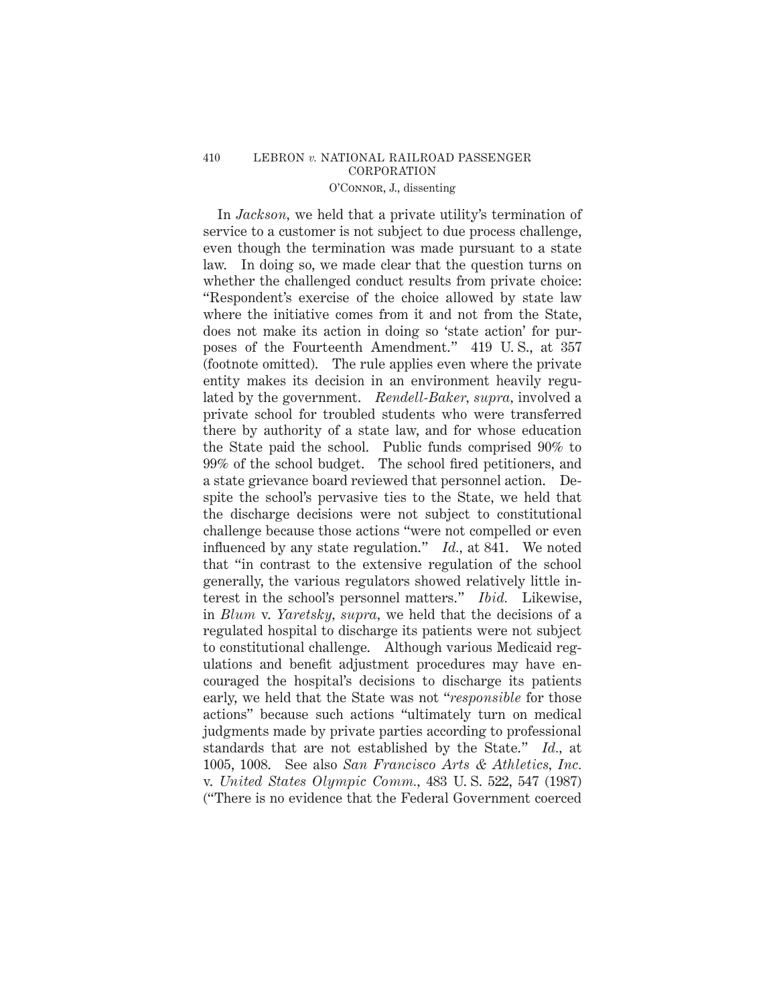# 410 LEBRON *v.* NATIONAL RAILROAD PASSENGER CORPORATION

# O'Connor, J., dissenting

In *Jackson,* we held that a private utility's termination of service to a customer is not subject to due process challenge, even though the termination was made pursuant to a state law. In doing so, we made clear that the question turns on whether the challenged conduct results from private choice: "Respondent's exercise of the choice allowed by state law where the initiative comes from it and not from the State, does not make its action in doing so 'state action' for purposes of the Fourteenth Amendment." 419 U. S., at 357 (footnote omitted). The rule applies even where the private entity makes its decision in an environment heavily regulated by the government. *Rendell-Baker, supra,* involved a private school for troubled students who were transferred there by authority of a state law, and for whose education the State paid the school. Public funds comprised 90% to 99% of the school budget. The school fired petitioners, and a state grievance board reviewed that personnel action. Despite the school's pervasive ties to the State, we held that the discharge decisions were not subject to constitutional challenge because those actions "were not compelled or even influenced by any state regulation." *Id.,* at 841. We noted that "in contrast to the extensive regulation of the school generally, the various regulators showed relatively little interest in the school's personnel matters." *Ibid.* Likewise, in *Blum* v. *Yaretsky, supra,* we held that the decisions of a regulated hospital to discharge its patients were not subject to constitutional challenge. Although various Medicaid regulations and benefit adjustment procedures may have encouraged the hospital's decisions to discharge its patients early, we held that the State was not "*responsible* for those actions" because such actions "ultimately turn on medical judgments made by private parties according to professional standards that are not established by the State." *Id.,* at 1005, 1008. See also *San Francisco Arts & Athletics, Inc.* v. *United States Olympic Comm.,* 483 U. S. 522, 547 (1987) ("There is no evidence that the Federal Government coerced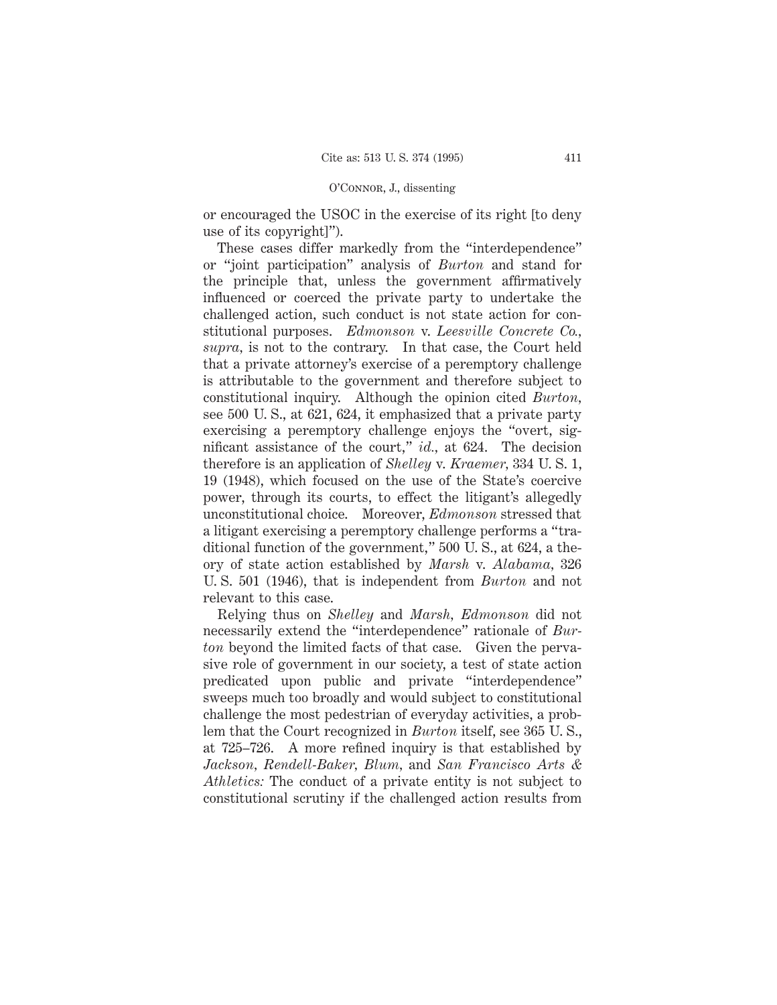or encouraged the USOC in the exercise of its right [to deny use of its copyright]").

These cases differ markedly from the "interdependence" or "joint participation" analysis of *Burton* and stand for the principle that, unless the government affirmatively influenced or coerced the private party to undertake the challenged action, such conduct is not state action for constitutional purposes. *Edmonson* v. *Leesville Concrete Co., supra,* is not to the contrary. In that case, the Court held that a private attorney's exercise of a peremptory challenge is attributable to the government and therefore subject to constitutional inquiry. Although the opinion cited *Burton,* see 500 U. S., at 621, 624, it emphasized that a private party exercising a peremptory challenge enjoys the "overt, significant assistance of the court," *id.,* at 624. The decision therefore is an application of *Shelley* v. *Kraemer,* 334 U. S. 1, 19 (1948), which focused on the use of the State's coercive power, through its courts, to effect the litigant's allegedly unconstitutional choice. Moreover, *Edmonson* stressed that a litigant exercising a peremptory challenge performs a "traditional function of the government," 500 U. S., at 624, a theory of state action established by *Marsh* v. *Alabama,* 326 U. S. 501 (1946), that is independent from *Burton* and not relevant to this case.

Relying thus on *Shelley* and *Marsh, Edmonson* did not necessarily extend the "interdependence" rationale of *Burton* beyond the limited facts of that case. Given the pervasive role of government in our society, a test of state action predicated upon public and private "interdependence" sweeps much too broadly and would subject to constitutional challenge the most pedestrian of everyday activities, a problem that the Court recognized in *Burton* itself, see 365 U. S., at 725–726. A more refined inquiry is that established by *Jackson, Rendell-Baker, Blum,* and *San Francisco Arts & Athletics:* The conduct of a private entity is not subject to constitutional scrutiny if the challenged action results from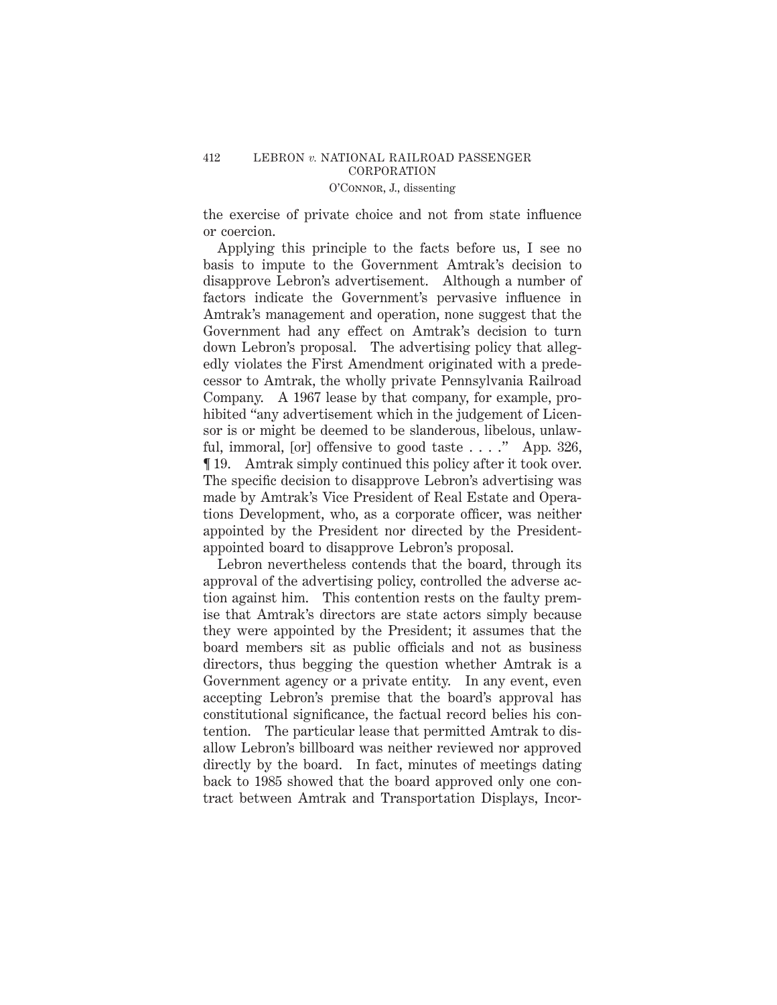the exercise of private choice and not from state influence or coercion.

Applying this principle to the facts before us, I see no basis to impute to the Government Amtrak's decision to disapprove Lebron's advertisement. Although a number of factors indicate the Government's pervasive influence in Amtrak's management and operation, none suggest that the Government had any effect on Amtrak's decision to turn down Lebron's proposal. The advertising policy that allegedly violates the First Amendment originated with a predecessor to Amtrak, the wholly private Pennsylvania Railroad Company. A 1967 lease by that company, for example, prohibited "any advertisement which in the judgement of Licensor is or might be deemed to be slanderous, libelous, unlawful, immoral, [or] offensive to good taste  $\dots$ ." App. 326, ¶ 19. Amtrak simply continued this policy after it took over. The specific decision to disapprove Lebron's advertising was made by Amtrak's Vice President of Real Estate and Operations Development, who, as a corporate officer, was neither appointed by the President nor directed by the Presidentappointed board to disapprove Lebron's proposal.

Lebron nevertheless contends that the board, through its approval of the advertising policy, controlled the adverse action against him. This contention rests on the faulty premise that Amtrak's directors are state actors simply because they were appointed by the President; it assumes that the board members sit as public officials and not as business directors, thus begging the question whether Amtrak is a Government agency or a private entity. In any event, even accepting Lebron's premise that the board's approval has constitutional significance, the factual record belies his contention. The particular lease that permitted Amtrak to disallow Lebron's billboard was neither reviewed nor approved directly by the board. In fact, minutes of meetings dating back to 1985 showed that the board approved only one contract between Amtrak and Transportation Displays, Incor-